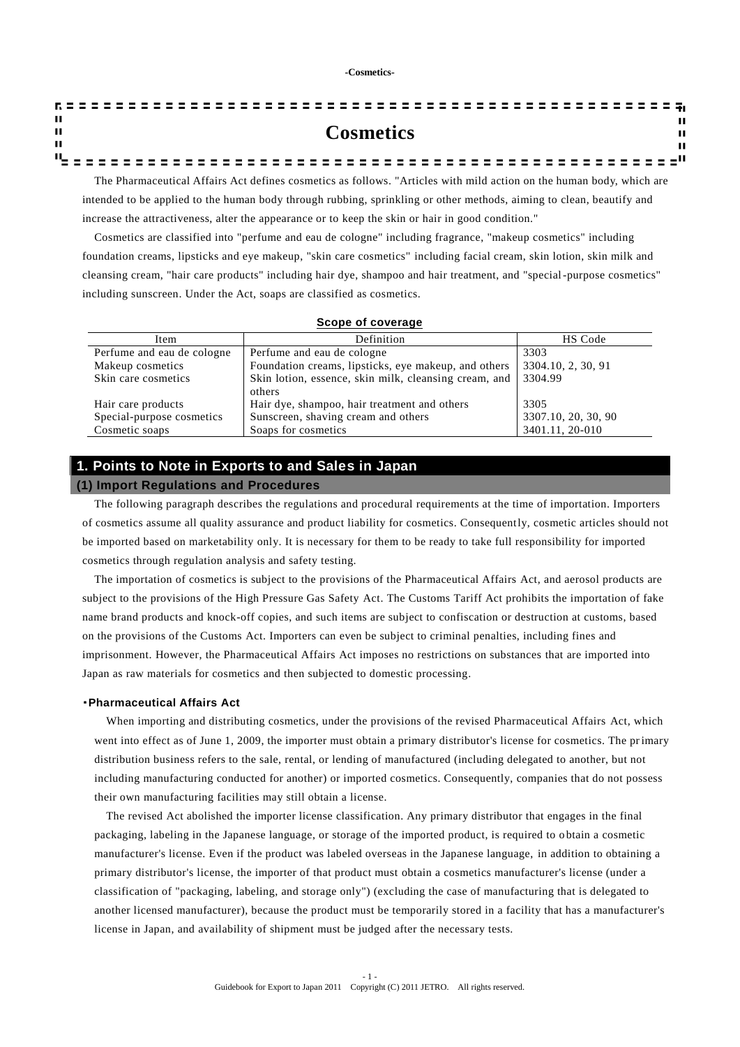| - 11         |                                                                                                                      |
|--------------|----------------------------------------------------------------------------------------------------------------------|
| $\mathbf{u}$ | <b>Cosmetics</b><br>ш                                                                                                |
| - 11         | ш                                                                                                                    |
|              |                                                                                                                      |
|              | The Pharmaceutical Affairs Act defines cosmetics as follows. "Articles with mild action on the human body, which are |

intended to be applied to the human body through rubbing, sprinkling or other methods, aiming to clean, beautify and increase the attractiveness, alter the appearance or to keep the skin or hair in good condition."

Cosmetics are classified into "perfume and eau de cologne" including fragrance, "makeup cosmetics" including foundation creams, lipsticks and eye makeup, "skin care cosmetics" including facial cream, skin lotion, skin milk and cleansing cream, "hair care products" including hair dye, shampoo and hair treatment, and "special-purpose cosmetics" including sunscreen. Under the Act, soaps are classified as cosmetics.

## **Scope of coverage**

| Item                       | Definition                                            | HS Code             |
|----------------------------|-------------------------------------------------------|---------------------|
| Perfume and eau de cologne | Perfume and eau de cologne                            | 3303                |
| Makeup cosmetics           | Foundation creams, lipsticks, eye makeup, and others  | 3304.10, 2, 30, 91  |
| Skin care cosmetics        | Skin lotion, essence, skin milk, cleansing cream, and | 3304.99             |
|                            | others                                                |                     |
| Hair care products         | Hair dye, shampoo, hair treatment and others          | 3305                |
| Special-purpose cosmetics  | Sunscreen, shaving cream and others                   | 3307.10, 20, 30, 90 |
| Cosmetic soaps             | Soaps for cosmetics                                   | 3401.11, 20-010     |

## **1. Points to Note in Exports to and Sales in Japan**

## **(1) Import Regulations and Procedures**

The following paragraph describes the regulations and procedural requirements at the time of importation. Importers of cosmetics assume all quality assurance and product liability for cosmetics. Consequently, cosmetic articles should not be imported based on marketability only. It is necessary for them to be ready to take full responsibility for imported cosmetics through regulation analysis and safety testing.

The importation of cosmetics is subject to the provisions of the Pharmaceutical Affairs Act, and aerosol products are subject to the provisions of the High Pressure Gas Safety Act. The Customs Tariff Act prohibits the importation of fake name brand products and knock-off copies, and such items are subject to confiscation or destruction at customs, based on the provisions of the Customs Act. Importers can even be subject to criminal penalties, including fines and imprisonment. However, the Pharmaceutical Affairs Act imposes no restrictions on substances that are imported into Japan as raw materials for cosmetics and then subjected to domestic processing.

## ・**Pharmaceutical Affairs Act**

When importing and distributing cosmetics, under the provisions of the revised Pharmaceutical Affairs Act, which went into effect as of June 1, 2009, the importer must obtain a primary distributor's license for cosmetics. The primary distribution business refers to the sale, rental, or lending of manufactured (including delegated to another, but not including manufacturing conducted for another) or imported cosmetics. Consequently, companies that do not possess their own manufacturing facilities may still obtain a license.

The revised Act abolished the importer license classification. Any primary distributor that engages in the final packaging, labeling in the Japanese language, or storage of the imported product, is required to o btain a cosmetic manufacturer's license. Even if the product was labeled overseas in the Japanese language, in addition to obtaining a primary distributor's license, the importer of that product must obtain a cosmetics manufacturer's license (under a classification of "packaging, labeling, and storage only") (excluding the case of manufacturing that is delegated to another licensed manufacturer), because the product must be temporarily stored in a facility that has a manufacturer's license in Japan, and availability of shipment must be judged after the necessary tests.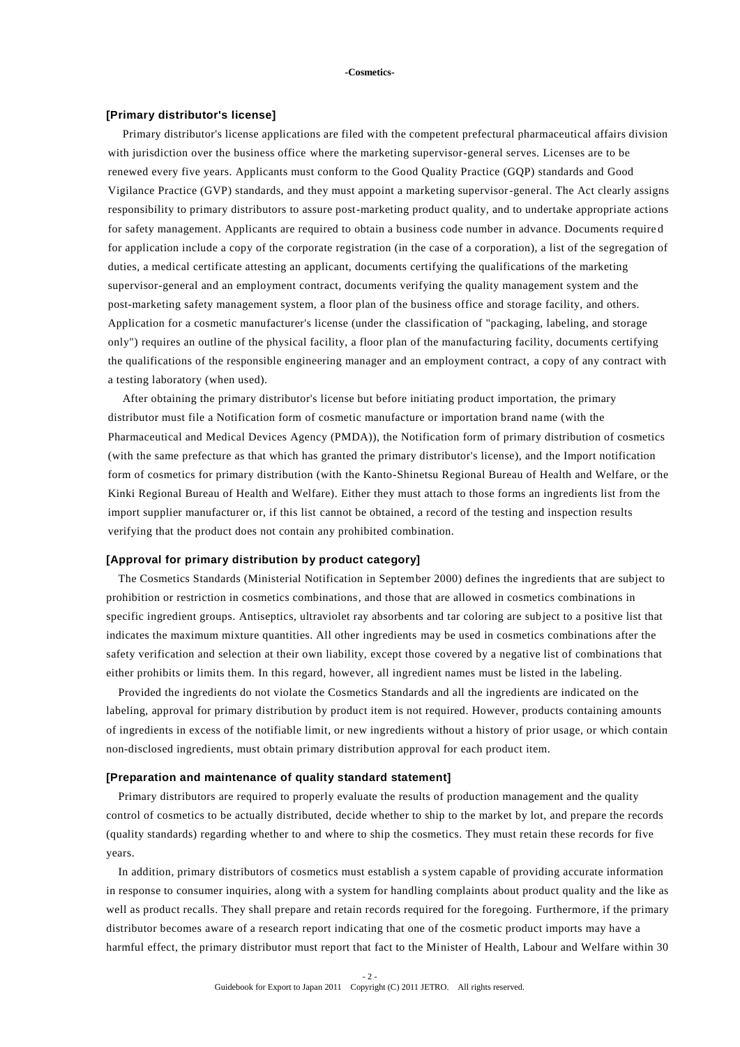### **[Primary distributor's license]**

Primary distributor's license applications are filed with the competent prefectural pharmaceutical affairs division with jurisdiction over the business office where the marketing supervisor-general serves. Licenses are to be renewed every five years. Applicants must conform to the Good Quality Practice (GQP) standards and Good Vigilance Practice (GVP) standards, and they must appoint a marketing supervisor-general. The Act clearly assigns responsibility to primary distributors to assure post-marketing product quality, and to undertake appropriate actions for safety management. Applicants are required to obtain a business code number in advance. Documents require d for application include a copy of the corporate registration (in the case of a corporation), a list of the segregation of duties, a medical certificate attesting an applicant, documents certifying the qualifications of the marketing supervisor-general and an employment contract, documents verifying the quality management system and the post-marketing safety management system, a floor plan of the business office and storage facility, and others. Application for a cosmetic manufacturer's license (under the classification of "packaging, labeling, and storage only") requires an outline of the physical facility, a floor plan of the manufacturing facility, documents certifying the qualifications of the responsible engineering manager and an employment contract, a copy of any contract with a testing laboratory (when used).

After obtaining the primary distributor's license but before initiating product importation, the primary distributor must file a Notification form of cosmetic manufacture or importation brand name (with the Pharmaceutical and Medical Devices Agency (PMDA)), the Notification form of primary distribution of cosmetics (with the same prefecture as that which has granted the primary distributor's license), and the Import notification form of cosmetics for primary distribution (with the Kanto-Shinetsu Regional Bureau of Health and Welfare, or the Kinki Regional Bureau of Health and Welfare). Either they must attach to those forms an ingredients list from the import supplier manufacturer or, if this list cannot be obtained, a record of the testing and inspection results verifying that the product does not contain any prohibited combination.

#### **[Approval for primary distribution by product category]**

The Cosmetics Standards (Ministerial Notification in September 2000) defines the ingredients that are subject to prohibition or restriction in cosmetics combinations, and those that are allowed in cosmetics combinations in specific ingredient groups. Antiseptics, ultraviolet ray absorbents and tar coloring are subject to a positive list that indicates the maximum mixture quantities. All other ingredients may be used in cosmetics combinations after the safety verification and selection at their own liability, except those covered by a negative list of combinations that either prohibits or limits them. In this regard, however, all ingredient names must be listed in the labeling.

Provided the ingredients do not violate the Cosmetics Standards and all the ingredients are indicated on the labeling, approval for primary distribution by product item is not required. However, products containing amounts of ingredients in excess of the notifiable limit, or new ingredients without a history of prior usage, or which contain non-disclosed ingredients, must obtain primary distribution approval for each product item.

#### **[Preparation and maintenance of quality standard statement]**

Primary distributors are required to properly evaluate the results of production management and the quality control of cosmetics to be actually distributed, decide whether to ship to the market by lot, and prepare the records (quality standards) regarding whether to and where to ship the cosmetics. They must retain these records for five years.

In addition, primary distributors of cosmetics must establish a system capable of providing accurate information in response to consumer inquiries, along with a system for handling complaints about product quality and the like as well as product recalls. They shall prepare and retain records required for the foregoing. Furthermore, if the primary distributor becomes aware of a research report indicating that one of the cosmetic product imports may have a harmful effect, the primary distributor must report that fact to the Minister of Health, Labour and Welfare within 30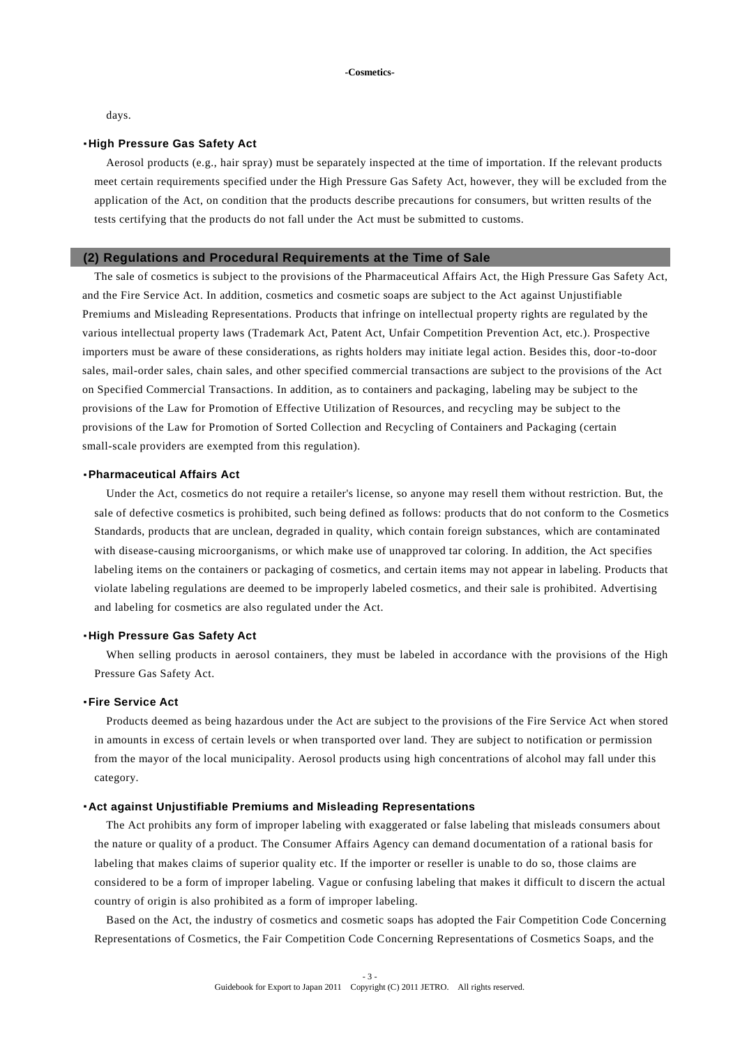days.

## ・**High Pressure Gas Safety Act**

Aerosol products (e.g., hair spray) must be separately inspected at the time of importation. If the relevant products meet certain requirements specified under the High Pressure Gas Safety Act, however, they will be excluded from the application of the Act, on condition that the products describe precautions for consumers, but written results of the tests certifying that the products do not fall under the Act must be submitted to customs.

#### **(2) Regulations and Procedural Requirements at the Time of Sale**

The sale of cosmetics is subject to the provisions of the Pharmaceutical Affairs Act, the High Pressure Gas Safety Act, and the Fire Service Act. In addition, cosmetics and cosmetic soaps are subject to the Act against Unjustifiable Premiums and Misleading Representations. Products that infringe on intellectual property rights are regulated by the various intellectual property laws (Trademark Act, Patent Act, Unfair Competition Prevention Act, etc.). Prospective importers must be aware of these considerations, as rights holders may initiate legal action. Besides this, door-to-door sales, mail-order sales, chain sales, and other specified commercial transactions are subject to the provisions of the Act on Specified Commercial Transactions. In addition, as to containers and packaging, labeling may be subject to the provisions of the Law for Promotion of Effective Utilization of Resources, and recycling may be subject to the provisions of the Law for Promotion of Sorted Collection and Recycling of Containers and Packaging (certain small-scale providers are exempted from this regulation).

### ・**Pharmaceutical Affairs Act**

Under the Act, cosmetics do not require a retailer's license, so anyone may resell them without restriction. But, the sale of defective cosmetics is prohibited, such being defined as follows: products that do not conform to the Cosmetics Standards, products that are unclean, degraded in quality, which contain foreign substances, which are contaminated with disease-causing microorganisms, or which make use of unapproved tar coloring. In addition, the Act specifies labeling items on the containers or packaging of cosmetics, and certain items may not appear in labeling. Products that violate labeling regulations are deemed to be improperly labeled cosmetics, and their sale is prohibited. Advertising and labeling for cosmetics are also regulated under the Act.

## ・**High Pressure Gas Safety Act**

When selling products in aerosol containers, they must be labeled in accordance with the provisions of the High Pressure Gas Safety Act.

## ・**Fire Service Act**

Products deemed as being hazardous under the Act are subject to the provisions of the Fire Service Act when stored in amounts in excess of certain levels or when transported over land. They are subject to notification or permission from the mayor of the local municipality. Aerosol products using high concentrations of alcohol may fall under this category.

### ・**Act against Unjustifiable Premiums and Misleading Representations**

The Act prohibits any form of improper labeling with exaggerated or false labeling that misleads consumers about the nature or quality of a product. The Consumer Affairs Agency can demand documentation of a rational basis for labeling that makes claims of superior quality etc. If the importer or reseller is unable to do so, those claims are considered to be a form of improper labeling. Vague or confusing labeling that makes it difficult to discern the actual country of origin is also prohibited as a form of improper labeling.

Based on the Act, the industry of cosmetics and cosmetic soaps has adopted the Fair Competition Code Concerning Representations of Cosmetics, the Fair Competition Code Concerning Representations of Cosmetics Soaps, and the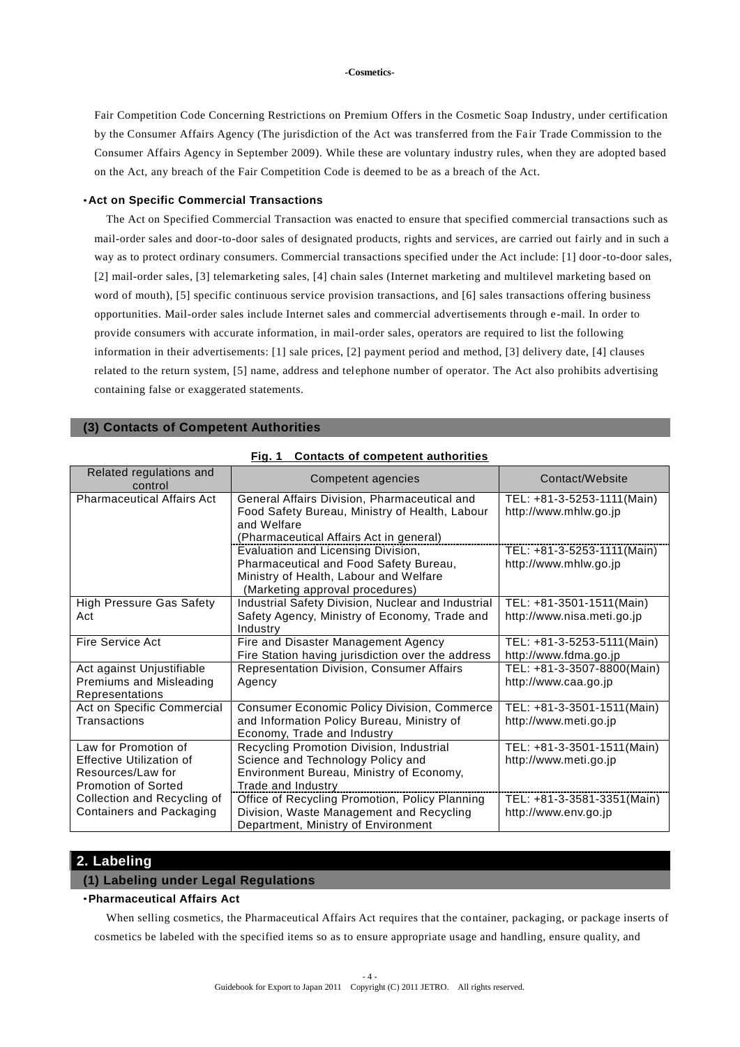Fair Competition Code Concerning Restrictions on Premium Offers in the Cosmetic Soap Industry, under certification by the Consumer Affairs Agency (The jurisdiction of the Act was transferred from the Fair Trade Commission to the Consumer Affairs Agency in September 2009). While these are voluntary industry rules, when they are adopted based on the Act, any breach of the Fair Competition Code is deemed to be as a breach of the Act.

### ・**Act on Specific Commercial Transactions**

The Act on Specified Commercial Transaction was enacted to ensure that specified commercial transactions such as mail-order sales and door-to-door sales of designated products, rights and services, are carried out fairly and in such a way as to protect ordinary consumers. Commercial transactions specified under the Act include: [1] door-to-door sales, [2] mail-order sales, [3] telemarketing sales, [4] chain sales (Internet marketing and multilevel marketing based on word of mouth), [5] specific continuous service provision transactions, and [6] sales transactions offering business opportunities. Mail-order sales include Internet sales and commercial advertisements through e-mail. In order to provide consumers with accurate information, in mail-order sales, operators are required to list the following information in their advertisements: [1] sale prices, [2] payment period and method, [3] delivery date, [4] clauses related to the return system, [5] name, address and telephone number of operator. The Act also prohibits advertising containing false or exaggerated statements.

| <b>Contacts of competent authorities</b><br>Fia. 1                                                  |                                                                                                                                                           |                                                        |  |  |  |  |  |  |
|-----------------------------------------------------------------------------------------------------|-----------------------------------------------------------------------------------------------------------------------------------------------------------|--------------------------------------------------------|--|--|--|--|--|--|
| Related regulations and<br>control                                                                  | Competent agencies                                                                                                                                        | Contact/Website                                        |  |  |  |  |  |  |
| <b>Pharmaceutical Affairs Act</b>                                                                   | General Affairs Division, Pharmaceutical and<br>Food Safety Bureau, Ministry of Health, Labour<br>and Welfare<br>(Pharmaceutical Affairs Act in general)  | TEL: +81-3-5253-1111(Main)<br>http://www.mhlw.go.jp    |  |  |  |  |  |  |
|                                                                                                     | Evaluation and Licensing Division,<br>Pharmaceutical and Food Safety Bureau,<br>Ministry of Health, Labour and Welfare<br>(Marketing approval procedures) | TEL: +81-3-5253-1111(Main)<br>http://www.mhlw.go.jp    |  |  |  |  |  |  |
| <b>High Pressure Gas Safety</b><br>Act                                                              | Industrial Safety Division, Nuclear and Industrial<br>Safety Agency, Ministry of Economy, Trade and<br>Industry                                           | TEL: +81-3501-1511(Main)<br>http://www.nisa.meti.go.jp |  |  |  |  |  |  |
| Fire Service Act                                                                                    | Fire and Disaster Management Agency<br>Fire Station having jurisdiction over the address                                                                  | TEL: +81-3-5253-5111(Main)<br>http://www.fdma.go.jp    |  |  |  |  |  |  |
| Act against Unjustifiable<br>Premiums and Misleading<br>Representations                             | Representation Division, Consumer Affairs<br>Agency                                                                                                       | TEL: +81-3-3507-8800(Main)<br>http://www.caa.go.jp     |  |  |  |  |  |  |
| Act on Specific Commercial<br>Transactions                                                          | <b>Consumer Economic Policy Division, Commerce</b><br>and Information Policy Bureau, Ministry of<br>Economy, Trade and Industry                           | TEL: +81-3-3501-1511(Main)<br>http://www.meti.go.jp    |  |  |  |  |  |  |
| Law for Promotion of<br>Effective Utilization of<br>Resources/Law for<br><b>Promotion of Sorted</b> | Recycling Promotion Division, Industrial<br>Science and Technology Policy and<br>Environment Bureau, Ministry of Economy,<br>Trade and Industry           | TEL: +81-3-3501-1511(Main)<br>http://www.meti.go.jp    |  |  |  |  |  |  |
| Collection and Recycling of<br>Containers and Packaging                                             | Office of Recycling Promotion, Policy Planning<br>Division, Waste Management and Recycling<br>Department, Ministry of Environment                         | TEL: +81-3-3581-3351(Main)<br>http://www.env.go.jp     |  |  |  |  |  |  |

**(3) Contacts of Competent Authorities**

## **2. Labeling**

## **(1) Labeling under Legal Regulations**

## ・**Pharmaceutical Affairs Act**

When selling cosmetics, the Pharmaceutical Affairs Act requires that the container, packaging, or package inserts of cosmetics be labeled with the specified items so as to ensure appropriate usage and handling, ensure quality, and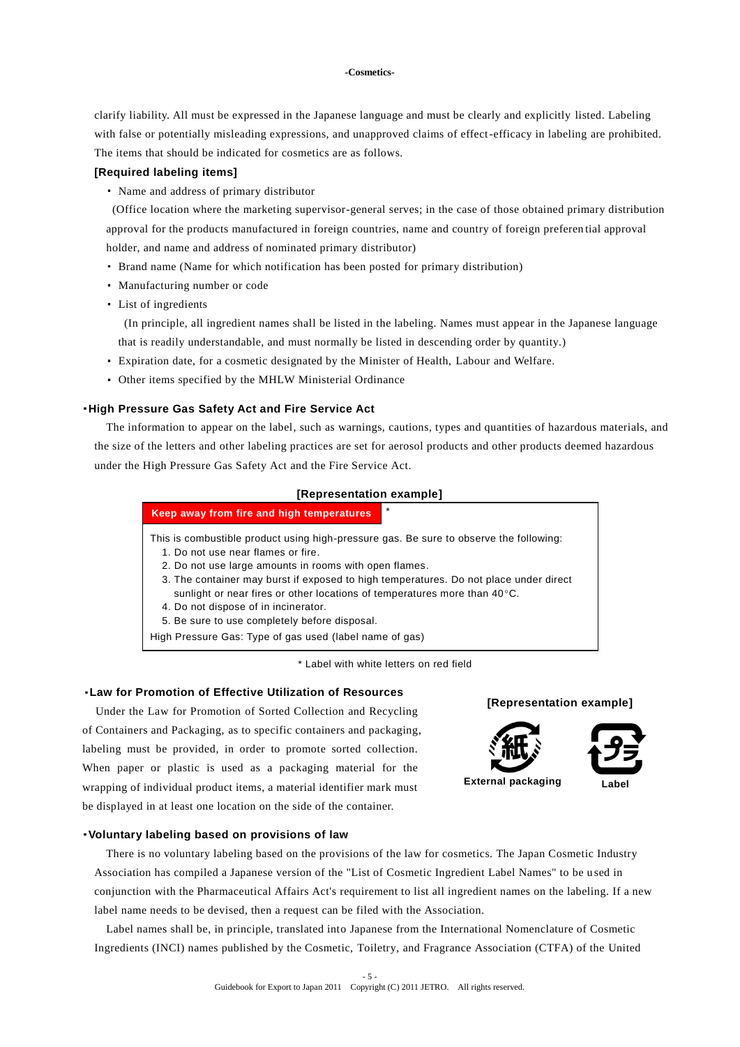clarify liability. All must be expressed in the Japanese language and must be clearly and explicitly listed. Labeling with false or potentially misleading expressions, and unapproved claims of effect-efficacy in labeling are prohibited. The items that should be indicated for cosmetics are as follows.

## **[Required labeling items]**

・ Name and address of primary distributor

(Office location where the marketing supervisor-general serves; in the case of those obtained primary distribution approval for the products manufactured in foreign countries, name and country of foreign preferen tial approval holder, and name and address of nominated primary distributor)

- ・ Brand name (Name for which notification has been posted for primary distribution)
- ・ Manufacturing number or code
- ・ List of ingredients

(In principle, all ingredient names shall be listed in the labeling. Names must appear in the Japanese language that is readily understandable, and must normally be listed in descending order by quantity.)

- ・ Expiration date, for a cosmetic designated by the Minister of Health, Labour and Welfare.
- ・ Other items specified by the MHLW Ministerial Ordinance

### ・**High Pressure Gas Safety Act and Fire Service Act**

The information to appear on the label, such as warnings, cautions, types and quantities of hazardous materials, and the size of the letters and other labeling practices are set for aerosol products and other products deemed hazardous under the High Pressure Gas Safety Act and the Fire Service Act.

#### **[Representation example]**

## \* This is combustible product using high-pressure gas. Be sure to observe the following: 1. Do not use near flames or fire. 2. Do not use large amounts in rooms with open flames. 3. The container may burst if exposed to high temperatures. Do not place under direct sunlight or near fires or other locations of temperatures more than  $40^{\circ}$ C. 4. Do not dispose of in incinerator. 5. Be sure to use completely before disposal. High Pressure Gas: Type of gas used (label name of gas) **Keep away from fire and high temperatures**

\* Label with white letters on red field

## ・**Law for Promotion of Effective Utilization of Resources**

Under the Law for Promotion of Sorted Collection and Recycling of Containers and Packaging, as to specific containers and packaging, labeling must be provided, in order to promote sorted collection. When paper or plastic is used as a packaging material for the wrapping of individual product items, a material identifier mark must be displayed in at least one location on the side of the container.







・**Voluntary labeling based on provisions of law**

There is no voluntary labeling based on the provisions of the law for cosmetics. The Japan Cosmetic Industry Association has compiled a Japanese version of the "List of Cosmetic Ingredient Label Names" to be u sed in conjunction with the Pharmaceutical Affairs Act's requirement to list all ingredient names on the labeling. If a new label name needs to be devised, then a request can be filed with the Association.

Label names shall be, in principle, translated into Japanese from the International Nomenclature of Cosmetic Ingredients (INCI) names published by the Cosmetic, Toiletry, and Fragrance Association (CTFA) of the United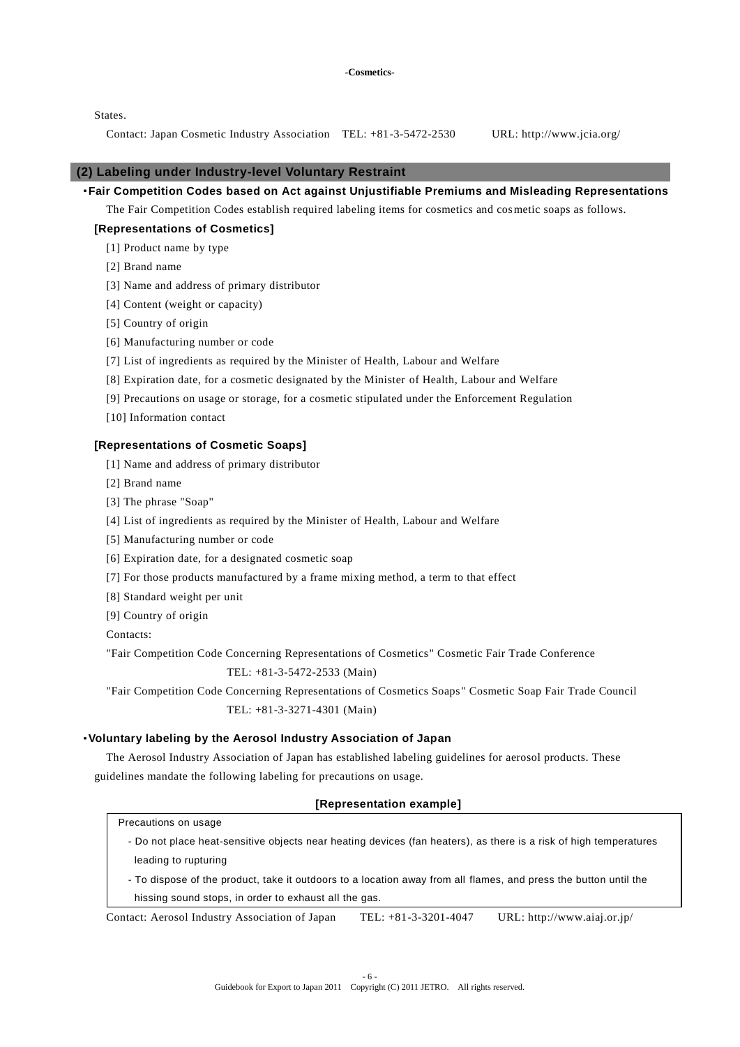States.

Contact: Japan Cosmetic Industry Association TEL: +81-3-5472-2530 URL: http://www.jcia.org/

## **(2) Labeling under Industry-level Voluntary Restraint**

・**Fair Competition Codes based on Act against Unjustifiable Premiums and Misleading Representations**

The Fair Competition Codes establish required labeling items for cosmetics and cosmetic soaps as follows.

## **[Representations of Cosmetics]**

[1] Product name by type

- [2] Brand name
- [3] Name and address of primary distributor
- [4] Content (weight or capacity)
- [5] Country of origin
- [6] Manufacturing number or code
- [7] List of ingredients as required by the Minister of Health, Labour and Welfare
- [8] Expiration date, for a cosmetic designated by the Minister of Health, Labour and Welfare
- [9] Precautions on usage or storage, for a cosmetic stipulated under the Enforcement Regulation
- [10] Information contact

### **[Representations of Cosmetic Soaps]**

- [1] Name and address of primary distributor
- [2] Brand name
- [3] The phrase "Soap"
- [4] List of ingredients as required by the Minister of Health, Labour and Welfare
- [5] Manufacturing number or code
- [6] Expiration date, for a designated cosmetic soap
- [7] For those products manufactured by a frame mixing method, a term to that effect
- [8] Standard weight per unit
- [9] Country of origin

Contacts:

"Fair Competition Code Concerning Representations of Cosmetics" Cosmetic Fair Trade Conference

## TEL: +81-3-5472-2533 (Main)

"Fair Competition Code Concerning Representations of Cosmetics Soaps " Cosmetic Soap Fair Trade Council TEL: +81-3-3271-4301 (Main)

#### ・**Voluntary labeling by the Aerosol Industry Association of Japan**

The Aerosol Industry Association of Japan has established labeling guidelines for aerosol products. These guidelines mandate the following labeling for precautions on usage.

## **[Representation example]**

| Precautions on usage |  |  |
|----------------------|--|--|
|----------------------|--|--|

- Do not place heat-sensitive objects near heating devices (fan heaters), as there is a risk of high temperatures leading to rupturing
- To dispose of the product, take it outdoors to a location away from all flames, and press the button until the hissing sound stops, in order to exhaust all the gas.

Contact: Aerosol Industry Association of Japan TEL: +81-3-3201-4047 URL: http://www.aiaj.or.jp/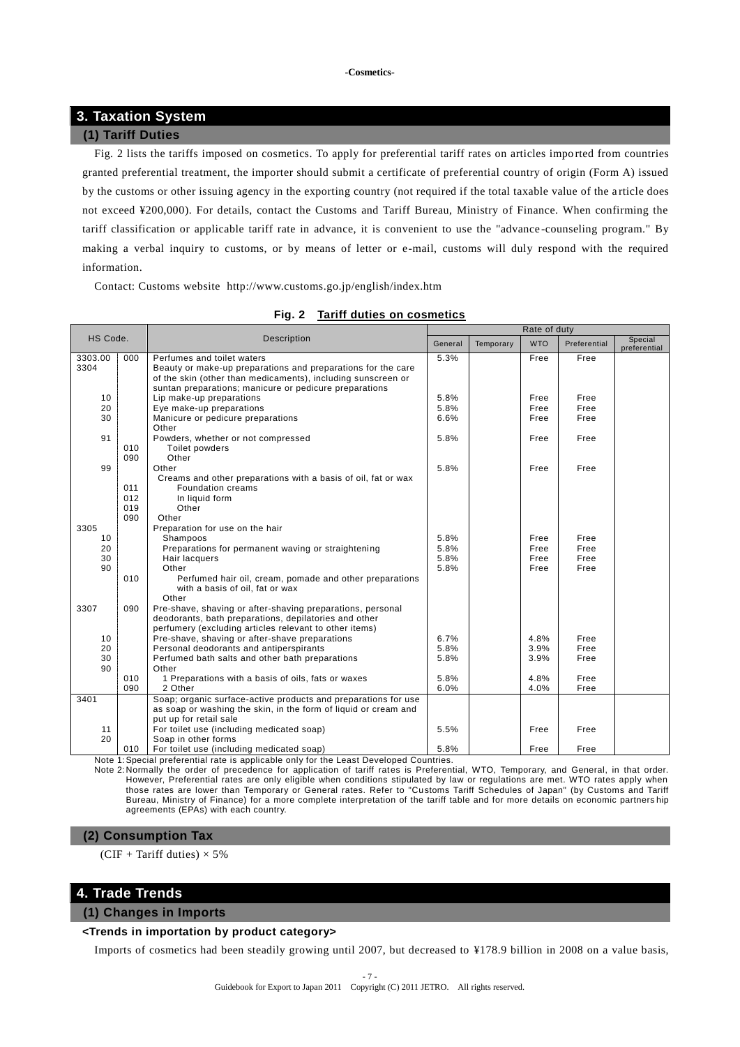# **3. Taxation System**

## **(1) Tariff Duties**

Fig. 2 lists the tariffs imposed on cosmetics. To apply for preferential tariff rates on articles impo rted from countries granted preferential treatment, the importer should submit a certificate of preferential country of origin (Form A) issued by the customs or other issuing agency in the exporting country (not required if the total taxable value of the a rticle does not exceed ¥200,000). For details, contact the Customs and Tariff Bureau, Ministry of Finance. When confirming the tariff classification or applicable tariff rate in advance, it is convenient to use the "advance -counseling program." By making a verbal inquiry to customs, or by means of letter or e-mail, customs will duly respond with the required information.

Contact: Customs website http://www.customs.go.jp/english/index.htm

|          |            |                                                                                        |         |           | Rate of duty |              |                         |
|----------|------------|----------------------------------------------------------------------------------------|---------|-----------|--------------|--------------|-------------------------|
| HS Code. |            | <b>Description</b>                                                                     | General | Temporary | <b>WTO</b>   | Preferential | Special<br>preferential |
| 3303.00  | 000        | Perfumes and toilet waters                                                             | 5.3%    |           | Free         | Free         |                         |
| 3304     |            | Beauty or make-up preparations and preparations for the care                           |         |           |              |              |                         |
|          |            | of the skin (other than medicaments), including sunscreen or                           |         |           |              |              |                         |
|          |            | suntan preparations; manicure or pedicure preparations                                 |         |           |              |              |                         |
| 10       |            | Lip make-up preparations                                                               | 5.8%    |           | Free         | Free         |                         |
| 20       |            | Eye make-up preparations                                                               | 5.8%    |           | Free         | Free         |                         |
| 30       |            | Manicure or pedicure preparations                                                      | 6.6%    |           | Free         | Free         |                         |
|          |            | Other                                                                                  |         |           |              |              |                         |
| 91       |            | Powders, whether or not compressed                                                     | 5.8%    |           | Free         | Free         |                         |
|          | 010        | Toilet powders                                                                         |         |           |              |              |                         |
|          | 090        | Other                                                                                  |         |           |              |              |                         |
| 99       |            | Other                                                                                  | 5.8%    |           | Free         | Free         |                         |
|          |            | Creams and other preparations with a basis of oil, fat or wax                          |         |           |              |              |                         |
|          | 011<br>012 | Foundation creams                                                                      |         |           |              |              |                         |
|          | 019        | In liquid form<br>Other                                                                |         |           |              |              |                         |
|          | 090        | Other                                                                                  |         |           |              |              |                         |
| 3305     |            | Preparation for use on the hair                                                        |         |           |              |              |                         |
| 10       |            | Shampoos                                                                               | 5.8%    |           | Free         | Free         |                         |
| 20       |            | Preparations for permanent waving or straightening                                     | 5.8%    |           | Free         | Free         |                         |
| 30       |            | Hair lacquers                                                                          | 5.8%    |           | Free         | Free         |                         |
| 90       |            | Other                                                                                  | 5.8%    |           | Free         | Free         |                         |
|          | 010        | Perfumed hair oil, cream, pomade and other preparations                                |         |           |              |              |                         |
|          |            | with a basis of oil, fat or wax                                                        |         |           |              |              |                         |
|          |            | Other                                                                                  |         |           |              |              |                         |
| 3307     | 090        | Pre-shave, shaving or after-shaving preparations, personal                             |         |           |              |              |                         |
|          |            | deodorants, bath preparations, depilatories and other                                  |         |           |              |              |                         |
|          |            | perfumery (excluding articles relevant to other items)                                 |         |           |              |              |                         |
| 10       |            | Pre-shave, shaving or after-shave preparations                                         | 6.7%    |           | 4.8%         | Free         |                         |
| 20       |            | Personal deodorants and antiperspirants                                                | 5.8%    |           | 3.9%         | Free         |                         |
| 30       |            | Perfumed bath salts and other bath preparations                                        | 5.8%    |           | 3.9%         | Free         |                         |
| 90       |            | Other                                                                                  |         |           |              |              |                         |
|          | 010        | 1 Preparations with a basis of oils, fats or waxes                                     | 5.8%    |           | 4.8%         | Free         |                         |
|          | 090        | 2 Other                                                                                | 6.0%    |           | 4.0%         | Free         |                         |
| 3401     |            | Soap; organic surface-active products and preparations for use                         |         |           |              |              |                         |
|          |            | as soap or washing the skin, in the form of liquid or cream and                        |         |           |              |              |                         |
|          |            | put up for retail sale                                                                 |         |           |              |              |                         |
| 11       |            | For toilet use (including medicated soap)                                              | 5.5%    |           | Free         | Free         |                         |
| 20       |            | Soap in other forms                                                                    |         |           |              |              |                         |
|          | 010        | For toilet use (including medicated soap)                                              | 5.8%    |           | Free         | Free         |                         |
|          |            | Note 1: Special preferential rate is applicable only for the Least Developed Countries |         |           |              |              |                         |

## **Fig. 2 Tariff duties on cosmetics**

Note 1:Special preferential rate is applicable only for the Least Developed Countries.

Note 2:Normally the order of precedence for application of tariff rates is Preferential, WTO, Temporary, and General, in that order. However, Preferential rates are only eligible when conditions stipulated by law or regulations are met. WTO rates apply when those rates are lower than Temporary or General rates. Refer to "Customs Tariff Schedules of Japan" (by Customs and Tariff Bureau, Ministry of Finance) for a more complete interpretation of the tariff table and for more details on economic partners hip agreements (EPAs) with each country.

## **(2) Consumption Tax**

(CIF + Tariff duties)  $\times$  5%

## **4. Trade Trends**

### **(1) Changes in Imports**

## **<Trends in importation by product category>**

Imports of cosmetics had been steadily growing until 2007, but decreased to ¥178.9 billion in 2008 on a value basis,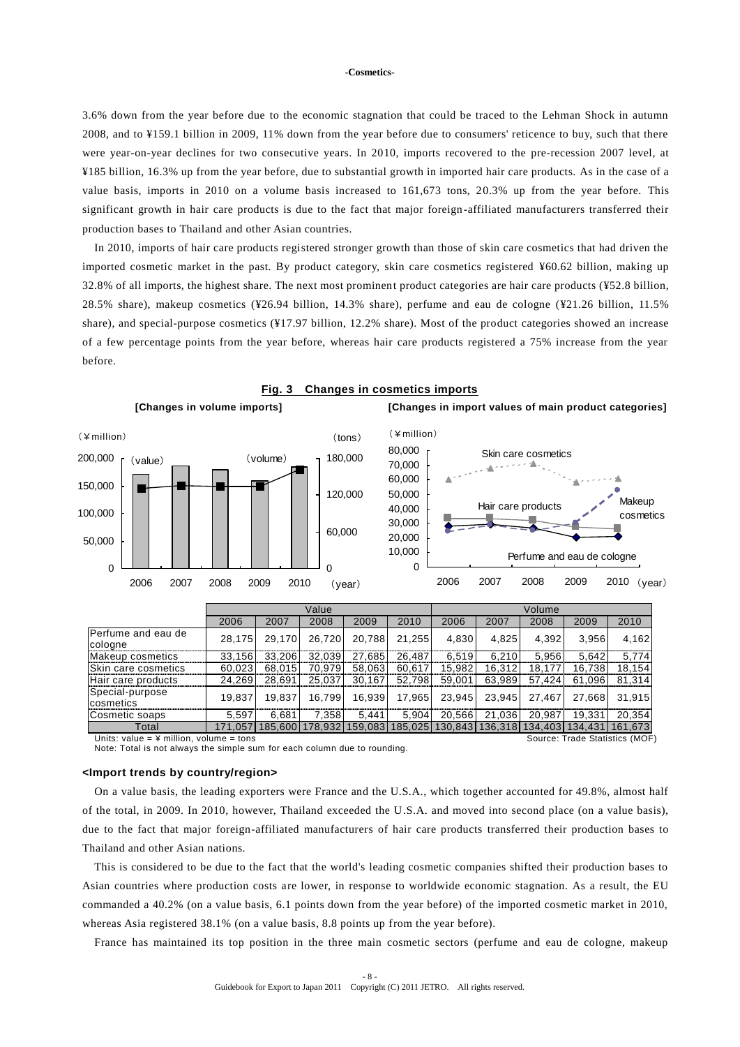3.6% down from the year before due to the economic stagnation that could be traced to the Lehman Shock in autumn 2008, and to ¥159.1 billion in 2009, 11% down from the year before due to consumers' reticence to buy, such that there were year-on-year declines for two consecutive years. In 2010, imports recovered to the pre-recession 2007 level, at ¥185 billion, 16.3% up from the year before, due to substantial growth in imported hair care products. As in the case of a value basis, imports in 2010 on a volume basis increased to 161,673 tons, 20.3% up from the year before. This significant growth in hair care products is due to the fact that major foreign -affiliated manufacturers transferred their production bases to Thailand and other Asian countries.

In 2010, imports of hair care products registered stronger growth than those of skin care cosmetics that had driven the imported cosmetic market in the past. By product category, skin care cosmetics registered ¥60.62 billion, making up 32.8% of all imports, the highest share. The next most prominent product categories are hair care products (¥52.8 billion, 28.5% share), makeup cosmetics (¥26.94 billion, 14.3% share), perfume and eau de cologne (¥21.26 billion, 11.5% share), and special-purpose cosmetics (¥17.97 billion, 12.2% share). Most of the product categories showed an increase of a few percentage points from the year before, whereas hair care products registered a 75% increase from the year before.



Note: Total is not always the simple sum for each column due to rounding.

#### **<Import trends by country/region>**

On a value basis, the leading exporters were France and the U.S.A., which together accounted for 49.8%, almost half of the total, in 2009. In 2010, however, Thailand exceeded the U.S.A. and moved into second place (on a value basis), due to the fact that major foreign-affiliated manufacturers of hair care products transferred their production bases to Thailand and other Asian nations.

This is considered to be due to the fact that the world's leading cosmetic companies shifted their production bases to Asian countries where production costs are lower, in response to worldwide economic stagnation. As a result, the EU commanded a 40.2% (on a value basis, 6.1 points down from the year before) of the imported cosmetic market in 2010, whereas Asia registered 38.1% (on a value basis, 8.8 points up from the year before).

France has maintained its top position in the three main cosmetic sectors (perfume and eau de cologne, makeup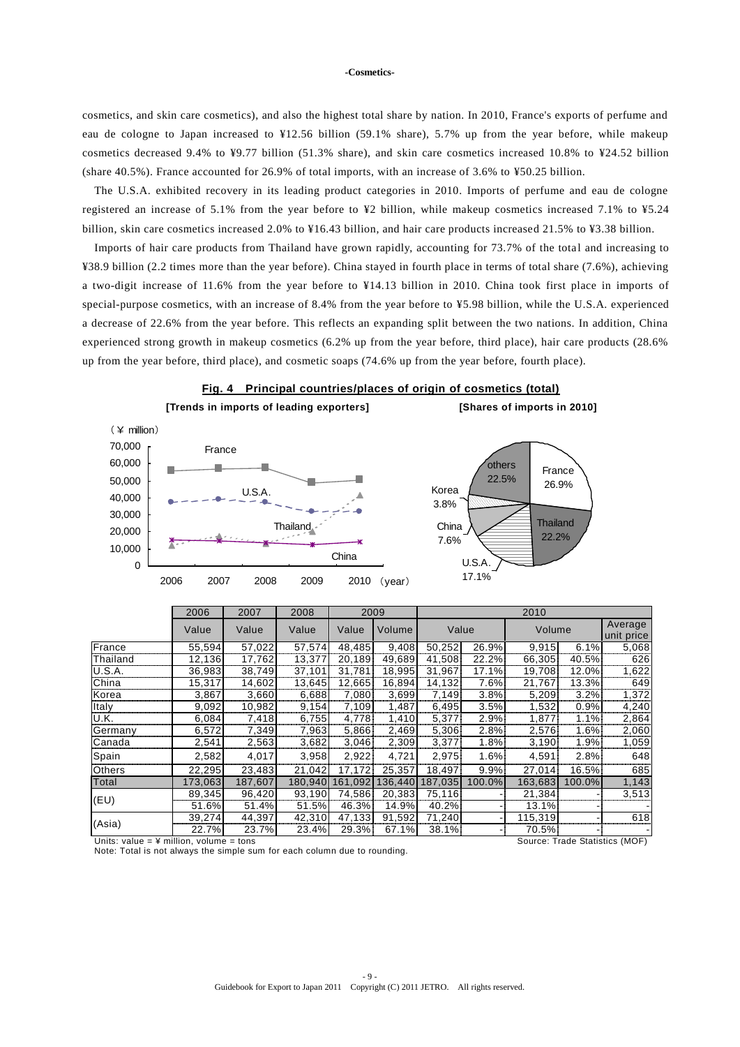cosmetics, and skin care cosmetics), and also the highest total share by nation. In 2010, France's exports of perfume and eau de cologne to Japan increased to ¥12.56 billion (59.1% share), 5.7% up from the year before, while makeup cosmetics decreased 9.4% to ¥9.77 billion (51.3% share), and skin care cosmetics increased 10.8% to ¥24.52 billion (share 40.5%). France accounted for 26.9% of total imports, with an increase of 3.6% to ¥50.25 billion.

The U.S.A. exhibited recovery in its leading product categories in 2010. Imports of perfume and eau de cologne registered an increase of 5.1% from the year before to ¥2 billion, while makeup cosmetics increased 7.1% to ¥5.24 billion, skin care cosmetics increased 2.0% to ¥16.43 billion, and hair care products increased 21.5% to ¥3.38 billion.

Imports of hair care products from Thailand have grown rapidly, accounting for 73.7% of the total and increasing to ¥38.9 billion (2.2 times more than the year before). China stayed in fourth place in terms of total share (7.6%), achieving a two-digit increase of 11.6% from the year before to ¥14.13 billion in 2010. China took first place in imports of special-purpose cosmetics, with an increase of 8.4% from the year before to ¥5.98 billion, while the U.S.A. experienced a decrease of 22.6% from the year before. This reflects an expanding split between the two nations. In addition, China experienced strong growth in makeup cosmetics (6.2% up from the year before, third place), hair care products (28.6% up from the year before, third place), and cosmetic soaps (74.6% up from the year before, fourth place).



|             | zuud    | zuu r   | zuuo    | zuuy    |         | ZUIU    |        |         |          |                       |
|-------------|---------|---------|---------|---------|---------|---------|--------|---------|----------|-----------------------|
|             | Value   | Value   | Value   | Value   | Volume  | Value   |        | Volume  |          | Average<br>unit price |
| France      | 55.594  | 57.022  | 57,574  | 48.485  | 9.408   | 50.252  | 26.9%  | 9,915   | 6.1%     | 5,068                 |
| Thailand    | 12.136  | 17.762  | 13.377  |         | 49.689  |         | 22.2%  |         |          | 626                   |
|             |         |         |         | 20,189  |         | 41,508  |        | 66.305  | 40.5%    |                       |
| U.S.A.      | 36,983  | 38.749  | 37,101  | 31.781  | 18.995  | 31,967  | 17.1%  | 19.708  | 12.0%    | 1,622                 |
| China       | 15,317  | 14,602  | 13.645  | 12.665  | 16,894  | 14.132  | 7.6%   | 21,767  | $13.3\%$ | 649                   |
| Korea       | 3,867   | 3,660   | 6,688   | 7.080   | 3,699   | 7,149   | 3.8%   | 5,209   | $3.2\%$  | 1,372                 |
| Italy       | 9,092   | 10.982  | 9.154   | 7.109   | 1.487   | 6.495   | 3.5%   | 1.532   | 0.9%     | 4,240                 |
| <u>U.K.</u> | 6,084   | 7,418   | 6.755   | 4.778   | 1.410   | 5,377   | 2.9%   | 1,877   | 1.1%     | 2,864                 |
| Germany     | 6,572   | 7,349   | 7.963   | 5.866   | 2.469   | 5,306   | 2.8%   | 2,576   | 1.6%     | 2,060                 |
| Canada      | 2,541   | 2,563   | 3,682   | 3,046   | 2,309   | 3,377   | 1.8%   | 3,190   | 1.9%     | 1,059                 |
| Spain       | 2,582   | 4,017   | 3,958   | 2,922   | 4,721   | 2,975   | 1.6%   | 4,591   | 2.8%     | 648                   |
| Others      | 22,295  | 23,483  | 21,042  | 17,172  | 25,357  | 18,497  | 9.9%   | 27,014  | 16.5%    | 685                   |
| Total       | 173,063 | 187,607 | 180,940 | 161.092 | 136.440 | 187,035 | 100.0% | 163,683 | 100.0%   | 1,143                 |
|             | 89,345  | 96,420  | 93,190  | 74,586  | 20,383  | 75,116  |        | 21,384  |          | 3,513                 |
| (EU)        | 51.6%   | 51.4%   | 51.5%   | 46.3%   | 14.9%   | 40.2%   |        | 13.1%   |          |                       |
| (Asia)      | 39,274  | 44,397  | 42,310  | 47,133  | 91.592  | 71,240  |        | 115,319 |          | 618                   |
|             | 22.7%   | 23.7%   | 23.4%   | 29.3%   | 67.1%   | 38.1%   |        | 70.5%   |          |                       |

Units: value = ¥ million, volume = tons Source: Trade Statistics (MOF) Note: Total is not always the simple sum for each column due to rounding.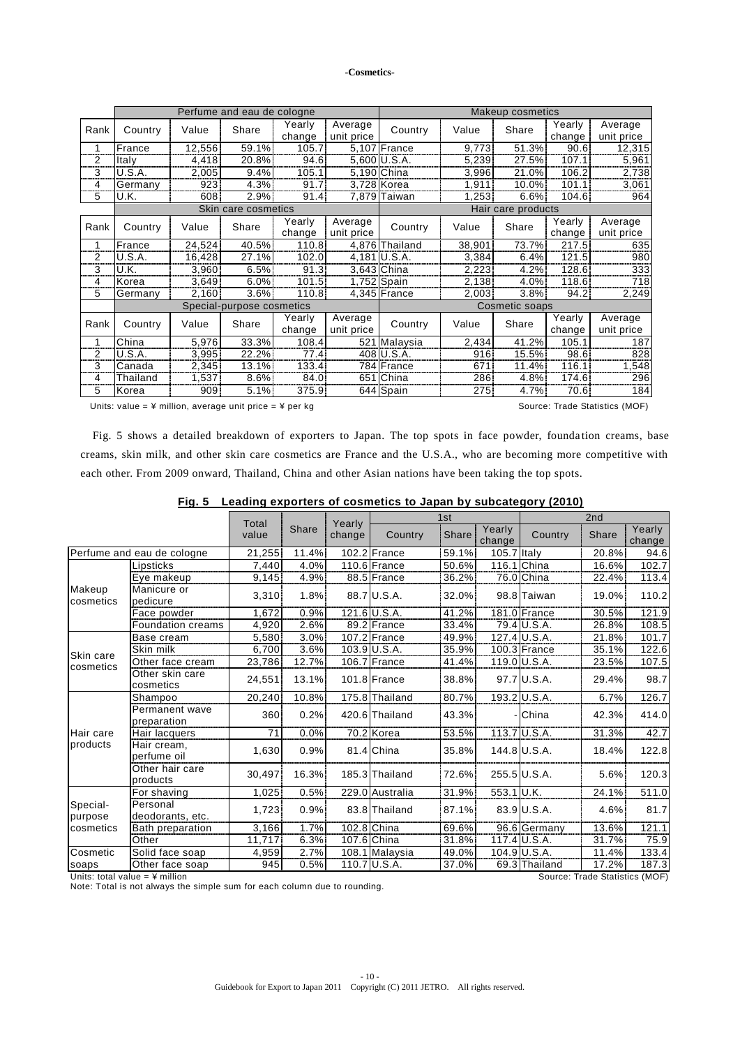|                | Perfume and eau de cologne |                  |                           |                  |                       |                | Makeup cosmetics |                    |                  |                       |  |
|----------------|----------------------------|------------------|---------------------------|------------------|-----------------------|----------------|------------------|--------------------|------------------|-----------------------|--|
| Rank           | Country                    | Value            | Share                     | Yearly<br>change | Average<br>unit price | Country        | Value            | Share              | Yearly<br>change | Average<br>unit price |  |
| 1              | France                     | 12,556           | 59.1%                     | 105.7            |                       | 5,107 France   | 9.773            | 51.3%              | 90.6             | 12,315                |  |
| $\overline{2}$ | Italy                      | 4,418            | 20.8%                     | 94.6             |                       | 5,600 U.S.A.   | 5,239            | 27.5%              | 107.1            | 5,961                 |  |
| 3<br>          | U.S.A.                     | 2,005            | 9.4%                      | 105.1            |                       | 5,190 China    | 3,996            | 21.0%              | 106.2            | 2,738                 |  |
| 4<br>          | Germany                    | 923              | 4.3%                      | 91.7             |                       | 3,728 Korea    | 1,911            | $10.0\%$           | 101.1            | 3,061                 |  |
| 5              | U.K.                       | 608              | 2.9%                      | 91.4             |                       | 7,879 Taiwan   | 1,253            | $6.6\%$            | 104.6            | 964                   |  |
|                |                            |                  | Skin care cosmetics       |                  |                       |                |                  | Hair care products |                  |                       |  |
| Rank           | Country                    | Value            | Share                     | Yearly<br>change | Average<br>unit price | Country        | Value            | Share              | Yearly<br>change | Average<br>unit price |  |
|                | France                     | 24,524           | 40.5%                     | 110.8.           |                       | 4,876 Thailand | 38.901           | 73.7%              | 217.5            | 635                   |  |
| 2<br>          | U.S.A.                     | 16,428           | 27.1%                     | 102.0            |                       | $4,181$ U.S.A. | 3,384            | 6.4%               | 121.5            | 980                   |  |
| 3              | U.K.                       | 3,960            | 6.5%                      | 91.3             |                       | 3,643 China    | 2,223            | 4.2%               | 128.6            | 333                   |  |
| 4              | Korea                      | 3,649            | 6.0%                      | 101.5            |                       | 1,752 Spain    | 2,138            | 4.0%               | 118.6            | 718                   |  |
| 5              | Germany                    | 2,160            | 3.6%                      | 110.8            |                       | 4,345 France   | 2,003            | $3.8\%$            | 94.2             | 2,249                 |  |
|                |                            |                  | Special-purpose cosmetics |                  |                       |                |                  | Cosmetic soaps     |                  |                       |  |
| Rank           | Country                    | Value            | Share                     | Yearly<br>change | Average<br>unit price | Country        | Value            | Share              | Yearly<br>change | Average<br>unit price |  |
| 1              | China                      | 5,976            | 33.3%                     | 108.4            | 521                   | Malaysia       | 2,434            | 41.2%              | 105.1            | 187                   |  |
| 2              | U.S.A.                     | 3,995            | 22.2%                     | 77.4             |                       | 408 U.S.A.     | 916              | 15.5%              | 98.6             | 828                   |  |
| 3              | Canada                     | 2,345            | 13.1%                     | 133.4            |                       | 784 France     | 671              | 11.4%              | 116.1            | 1,548                 |  |
| 4              | Thailand                   | 1,537            | 8.6%                      | 84.0             |                       | 651 China      | 286              | 4.8%               | 174.6            | 296                   |  |
| 5              | Korea                      | 909 <sup>°</sup> | 5.1%                      | 375.9            |                       | 644 Spain      | 275              | $4.7\%$            | 70.6             | 184                   |  |

Units: value =  $4$  million, average unit price =  $4$  per kg Source: Trade Statistics (MOF)

Fig. 5 shows a detailed breakdown of exporters to Japan. The top spots in face powder, foundation creams, base creams, skin milk, and other skin care cosmetics are France and the U.S.A., who are becoming more competitive with each other. From 2009 onward, Thailand, China and other Asian nations have been taking the top spots.

|                                                                    |                               | Total  |          | Yearly | 1st             |              | 2nd              |                |              |                  |
|--------------------------------------------------------------------|-------------------------------|--------|----------|--------|-----------------|--------------|------------------|----------------|--------------|------------------|
|                                                                    |                               | value  | Share    | change | Country         | <b>Share</b> | Yearly<br>change | Country        | <b>Share</b> | Yearly<br>change |
|                                                                    | Perfume and eau de cologne    | 21,255 | 11.4%    |        | 102.2 France    | 59.1%        | 105.7 Italy      |                | 20.8%        | 94.6             |
|                                                                    | .ipsticks                     | 7,440  | 4.0%     |        | 110.6 France    | 50.6%        |                  | 116.1 China    | 16.6%        | 102.7            |
|                                                                    | Eye makeup                    | 9,145  | 4.9%     |        | 88.5 France     | 36.2%        |                  | 76.0 China     | 22.4%        | 113.4            |
| Makeup<br>cosmetics                                                | Manicure or<br>pedicure       | 3,310  | 1.8%     |        | 88.7 U.S.A.     | 32.0%        |                  | 98.8 Taiwan    | 19.0%        | 110.2            |
|                                                                    | Face powder                   | 1.672  | 0.9%     |        | 121.6 U.S.A.    | 41.2%        |                  | 181.0 France   | 30.5%        | 121.9            |
|                                                                    | <b>Foundation creams</b>      | 4,920  | 2.6%     |        | 89.2 France     | 33.4%        |                  | 79.4 U.S.A.    | 26.8%        | 108.5            |
|                                                                    | Base cream                    | 5,580  | 3.0%     |        | 107.2 France    | 49.9%        |                  | 127.4 U.S.A.   | 21.8%        | 101.7            |
| Skin care                                                          | Skin milk                     | 6,700  | 3.6%     |        | 103.9 U.S.A.    | 35.9%        |                  | 100.3 France   | 35.1%        | 122.6            |
| cosmetics                                                          | Other face cream              | 23,786 | 12.7%    |        | 106.7 France    | 41.4%        |                  | 119.0 U.S.A.   | 23.5%        | 107.5            |
|                                                                    | Other skin care<br>cosmetics  | 24,551 | $13.1\%$ |        | 101.8 France    | 38.8%        |                  | 97.7 U.S.A.    | 29.4%        | 98.7             |
|                                                                    | Shampoo                       | 20,240 | 10.8%    |        | 175.8 Thailand  | 80.7%        |                  | 193.2 U.S.A.   | 6.7%         | 126.7            |
|                                                                    | Permanent wave<br>preparation | 360    | 0.2%     |        | 420.6 Thailand  | 43.3%        |                  | - China        | 42.3%        | 414.0            |
| Hair care                                                          | Hair lacquers                 | 71     | 0.0%     |        | 70.2 Korea      | 53.5%        |                  | $113.7$ U.S.A. | 31.3%        | 42.7             |
| products                                                           | Hair cream,<br>perfume oil    | 1.630  | 0.9%     |        | 81.4 China      | 35.8%        |                  | 144.8 U.S.A.   | 18.4%        | 122.8            |
|                                                                    | Other hair care<br>products   | 30,497 | 16.3%    |        | 185.3 Thailand  | 72.6%        |                  | 255.5 U.S.A.   | 5.6%         | 120.3            |
|                                                                    | For shaving                   | 1,025  | 0.5%     |        | 229.0 Australia | 31.9%        | 553.1 U.K.       |                | 24.1%        | 511.0            |
| Special-<br>purpose                                                | Personal<br>deodorants, etc.  | 1,723  | 0.9%     |        | 83.8 Thailand   | 87.1%        |                  | $83.9$ U.S.A.  | 4.6%         | 81.7             |
| cosmetics                                                          | Bath preparation              | 3.166  | 1.7%     |        | 102.8 China     | 69.6%        |                  | 96.6 Germany   | 13.6%        | 121.1            |
|                                                                    | Other                         | 11,717 | 6.3%     |        | 107.6 China     | 31.8%        |                  | 117.4 U.S.A.   | 31.7%        | 75.9             |
| Cosmetic                                                           | Solid face soap               | 4,959  | 2.7%     |        | 108.1 Malaysia  | 49.0%        |                  | 104.9 U.S.A.   | 11.4%        | 133.4            |
| soaps                                                              | Other face soap               | 945    | 0.5%     |        | 110.7 U.S.A.    | 37.0%        |                  | 69.3 Thailand  | 17.2%        | 187.3            |
| Units: total value = $4$ million<br>Source: Trade Statistics (MOF) |                               |        |          |        |                 |              |                  |                |              |                  |

Note: Total is not always the simple sum for each column due to rounding.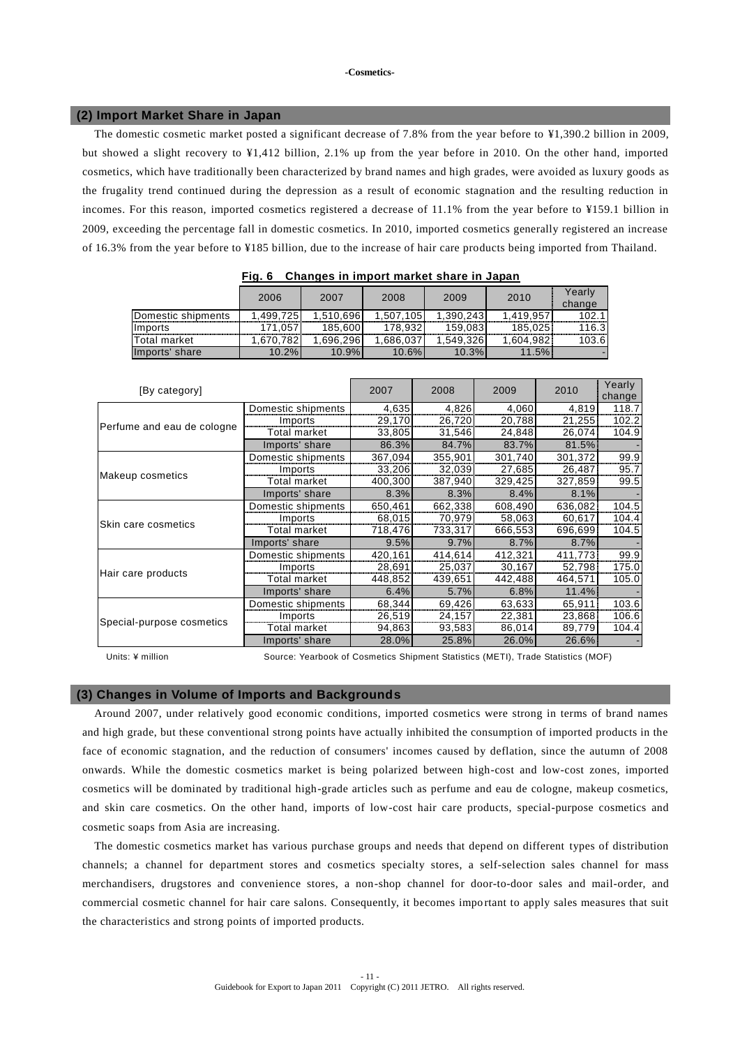## **(2) Import Market Share in Japan**

The domestic cosmetic market posted a significant decrease of 7.8% from the year before to ¥1,390.2 billion in 2009, but showed a slight recovery to ¥1,412 billion, 2.1% up from the year before in 2010. On the other hand, imported cosmetics, which have traditionally been characterized by brand names and high grades, were avoided as luxury goods as the frugality trend continued during the depression as a result of economic stagnation and the resulting reduction in incomes. For this reason, imported cosmetics registered a decrease of 11.1% from the year before to ¥159.1 billion in 2009, exceeding the percentage fall in domestic cosmetics. In 2010, imported cosmetics generally registered an increase of 16.3% from the year before to ¥185 billion, due to the increase of hair care products being imported from Thailand.

|                     | 2006      | 2007      | 2008      | 2009      | 2010      | Yearlv |
|---------------------|-----------|-----------|-----------|-----------|-----------|--------|
|                     |           |           |           |           |           | change |
| Domestic shipments  | 1.499.725 | 1,510,696 | 1.507.105 | 1.390.243 | 1.419.957 | 102.1  |
| Imports             | 171.057   | 185.600   | 178.932   | 159.083   | 185.025   | 116.3  |
| <b>Total market</b> | .670.782  | .696.296  | .686.037  | 1.549.326 | 1.604.982 | 103.6  |
| Imports' share      | 10.2%     | 10.9%     | 10.6%     | 10.3%     | 11.5%!    |        |

| Fig. 6 Changes in import market share in Japan |
|------------------------------------------------|
|------------------------------------------------|

| [By category]                                                                                                            |                    | 2007    | 2008    | 2009    | 2010    | Yearly<br>change |
|--------------------------------------------------------------------------------------------------------------------------|--------------------|---------|---------|---------|---------|------------------|
|                                                                                                                          | Domestic shipments | 4.635   | 4.826   | 4.060   | 4,819   | 118.7            |
|                                                                                                                          | Imports            | 29,170  | 26.720  | 20,788  | 21.255  | 102.2            |
| Perfume and eau de cologne<br>Makeup cosmetics<br>Skin care cosmetics<br>Hair care products<br>Special-purpose cosmetics | Total market       | 33,805  | 31,546  | 24,848  | 26,074  | 104.9            |
|                                                                                                                          | Imports' share     | 86.3%   | 84.7%   | 83.7%   | 81.5%   |                  |
|                                                                                                                          | Domestic shipments | 367,094 | 355,901 | 301.740 | 301,372 | 99.9             |
|                                                                                                                          | Imports            | 33,206  | 32,039  | 27,685  | 26,487  | 95.7             |
|                                                                                                                          | Total market       | 400,300 | 387,940 | 329,425 | 327,859 | 99.5             |
|                                                                                                                          | Imports' share     | 8.3%    | 8.3%    | 8.4%    | 8.1%    |                  |
|                                                                                                                          | Domestic shipments | 650,461 | 662,338 | 608,490 | 636,082 | 104.5            |
|                                                                                                                          | Imports            | 68,015  | 70,979  | 58,063  | 60,617  | 104.4            |
|                                                                                                                          | Total market       | 718,476 | 733,317 | 666,553 | 696,699 | 104.5            |
|                                                                                                                          | Imports' share     | 9.5%    | 9.7%    | 8.7%    | 8.7%    |                  |
|                                                                                                                          | Domestic shipments | 420,161 | 414,614 | 412,321 | 411,773 | 99.9             |
|                                                                                                                          | Imports            | 28,691  | 25,037  | 30,167  | 52,798  | 175.0            |
|                                                                                                                          | Total market       | 448,852 | 439,651 | 442,488 | 464,571 | 105.0            |
|                                                                                                                          | Imports' share     | 6.4%    | 5.7%    | 6.8%    | 11.4%   |                  |
|                                                                                                                          | Domestic shipments | 68,344  | 69,426  | 63,633  | 65,911  | 103.6            |
|                                                                                                                          | Imports            | 26,519  | 24,157  | 22,381  | 23,868  | 106.6            |
|                                                                                                                          | Total market       | 94,863  | 93,583  | 86,014  | 89,779  | 104.4            |
|                                                                                                                          | Imports' share     | 28.0%   | 25.8%   | 26.0%   | 26.6%   |                  |

Units: ¥ million Source: Yearbook of Cosmetics Shipment Statistics (METI), Trade Statistics (MOF)

## **(3) Changes in Volume of Imports and Backgrounds**

Around 2007, under relatively good economic conditions, imported cosmetics were strong in terms of brand names and high grade, but these conventional strong points have actually inhibited the consumption of imported products in the face of economic stagnation, and the reduction of consumers' incomes caused by deflation, since the autumn of 2008 onwards. While the domestic cosmetics market is being polarized between high-cost and low-cost zones, imported cosmetics will be dominated by traditional high-grade articles such as perfume and eau de cologne, makeup cosmetics, and skin care cosmetics. On the other hand, imports of low-cost hair care products, special-purpose cosmetics and cosmetic soaps from Asia are increasing.

The domestic cosmetics market has various purchase groups and needs that depend on different types of distribution channels; a channel for department stores and cosmetics specialty stores, a self-selection sales channel for mass merchandisers, drugstores and convenience stores, a non-shop channel for door-to-door sales and mail-order, and commercial cosmetic channel for hair care salons. Consequently, it becomes impo rtant to apply sales measures that suit the characteristics and strong points of imported products.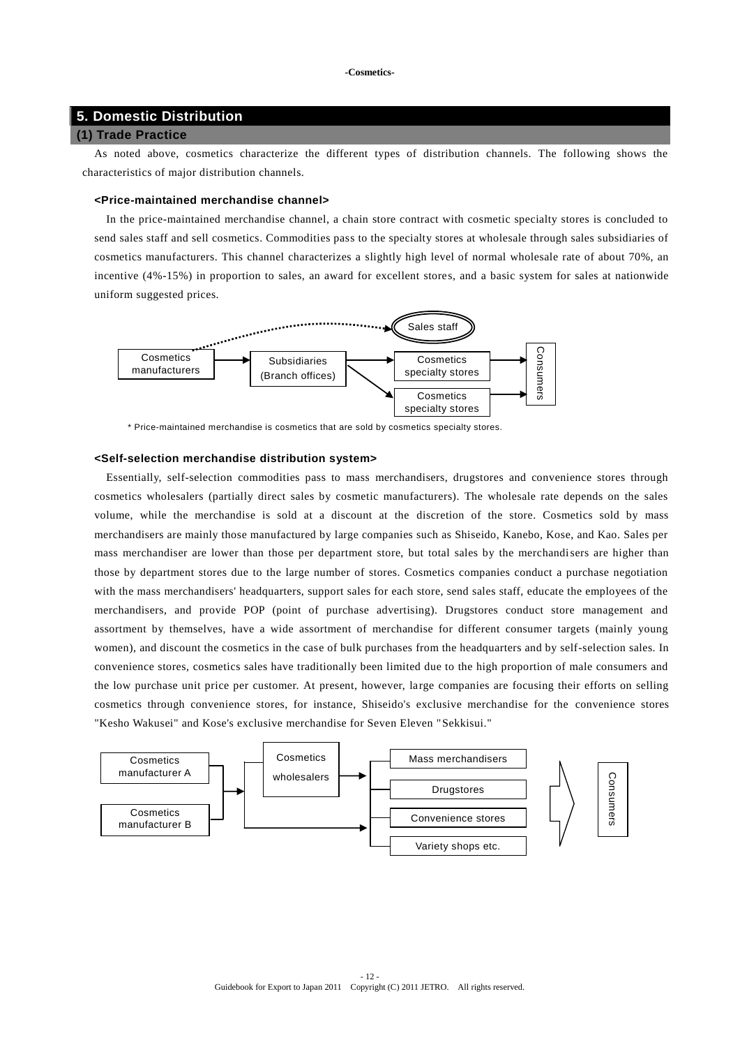## **5. Domestic Distribution**

## **(1) Trade Practice**

As noted above, cosmetics characterize the different types of distribution channels. The following shows the characteristics of major distribution channels.

## **<Price-maintained merchandise channel>**

In the price-maintained merchandise channel, a chain store contract with cosmetic specialty stores is concluded to send sales staff and sell cosmetics. Commodities pass to the specialty stores at wholesale through sales subsidiaries of cosmetics manufacturers. This channel characterizes a slightly high level of normal wholesale rate of about 70%, an incentive (4%-15%) in proportion to sales, an award for excellent stores, and a basic system for sales at nationwide uniform suggested prices.



\* Price-maintained merchandise is cosmetics that are sold by cosmetics specialty stores.

## **<Self-selection merchandise distribution system>**

Essentially, self-selection commodities pass to mass merchandisers, drugstores and convenience stores through cosmetics wholesalers (partially direct sales by cosmetic manufacturers). The wholesale rate depends on the sales volume, while the merchandise is sold at a discount at the discretion of the store. Cosmetics sold by mass merchandisers are mainly those manufactured by large companies such as Shiseido, Kanebo, Kose, and Kao. Sales per mass merchandiser are lower than those per department store, but total sales by the merchandisers are higher than those by department stores due to the large number of stores. Cosmetics companies conduct a purchase negotiation with the mass merchandisers' headquarters, support sales for each store, send sales staff, educate the employees of the merchandisers, and provide POP (point of purchase advertising). Drugstores conduct store management and assortment by themselves, have a wide assortment of merchandise for different consumer targets (mainly young women), and discount the cosmetics in the case of bulk purchases from the headquarters and by self-selection sales. In convenience stores, cosmetics sales have traditionally been limited due to the high proportion of male consumers and the low purchase unit price per customer. At present, however, large companies are focusing their efforts on selling cosmetics through convenience stores, for instance, Shiseido's exclusive merchandise for the convenience stores "Kesho Wakusei" and Kose's exclusive merchandise for Seven Eleven "Sekkisui."

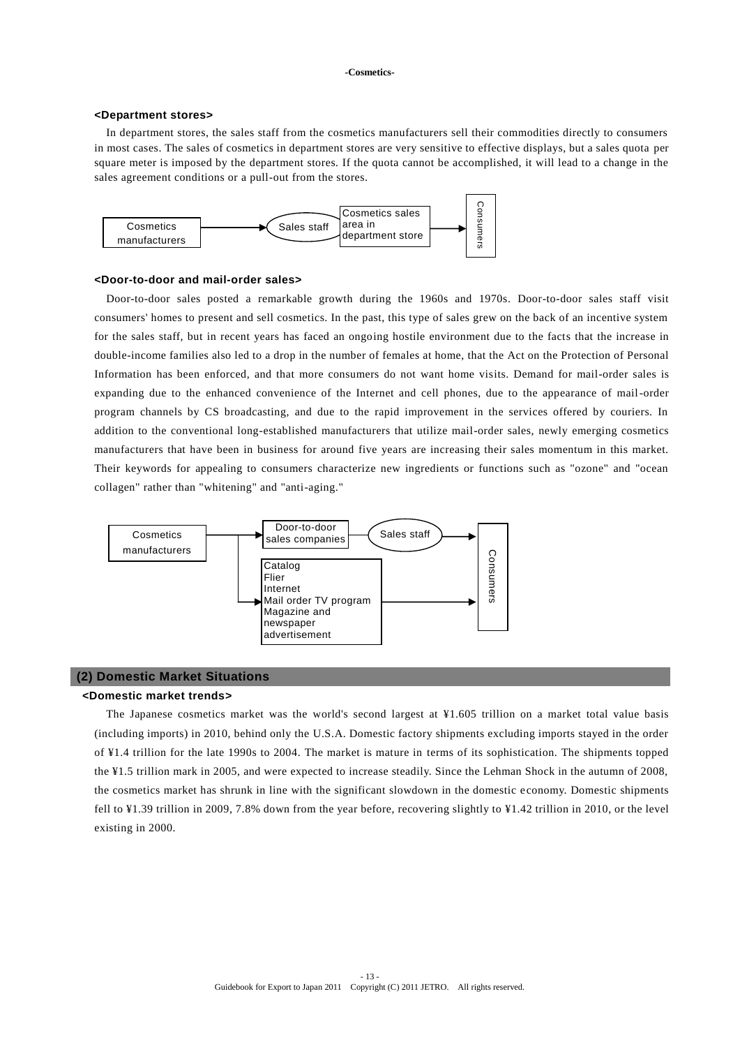#### **<Department stores>**

 In department stores, the sales staff from the cosmetics manufacturers sell their commodities directly to consumers in most cases. The sales of cosmetics in department stores are very sensitive to effective displays, but a sales quota per square meter is imposed by the department stores. If the quota cannot be accomplished, it will lead to a change in the sales agreement conditions or a pull-out from the stores.



#### **<Door-to-door and mail-order sales>**

Door-to-door sales posted a remarkable growth during the 1960s and 1970s. Door-to-door sales staff visit consumers' homes to present and sell cosmetics. In the past, this type of sales grew on the back of an incentive system for the sales staff, but in recent years has faced an ongoing hostile environment due to the facts that the increase in double-income families also led to a drop in the number of females at home, that the Act on the Protection of Personal Information has been enforced, and that more consumers do not want home visits. Demand for mail-order sales is expanding due to the enhanced convenience of the Internet and cell phones, due to the appearance of mail-order program channels by CS broadcasting, and due to the rapid improvement in the services offered by couriers. In addition to the conventional long-established manufacturers that utilize mail-order sales, newly emerging cosmetics manufacturers that have been in business for around five years are increasing their sales momentum in this market. Their keywords for appealing to consumers characterize new ingredients or functions such as "ozone" and "ocean collagen" rather than "whitening" and "anti-aging."



## **(2) Domestic Market Situations**

## **<Domestic market trends>**

The Japanese cosmetics market was the world's second largest at ¥1.605 trillion on a market total value basis (including imports) in 2010, behind only the U.S.A. Domestic factory shipments excluding imports stayed in the order of ¥1.4 trillion for the late 1990s to 2004. The market is mature in terms of its sophistication. The shipments topped the ¥1.5 trillion mark in 2005, and were expected to increase steadily. Since the Lehman Shock in the autumn of 2008, the cosmetics market has shrunk in line with the significant slowdown in the domestic e conomy. Domestic shipments fell to ¥1.39 trillion in 2009, 7.8% down from the year before, recovering slightly to ¥1.42 trillion in 2010, or the level existing in 2000.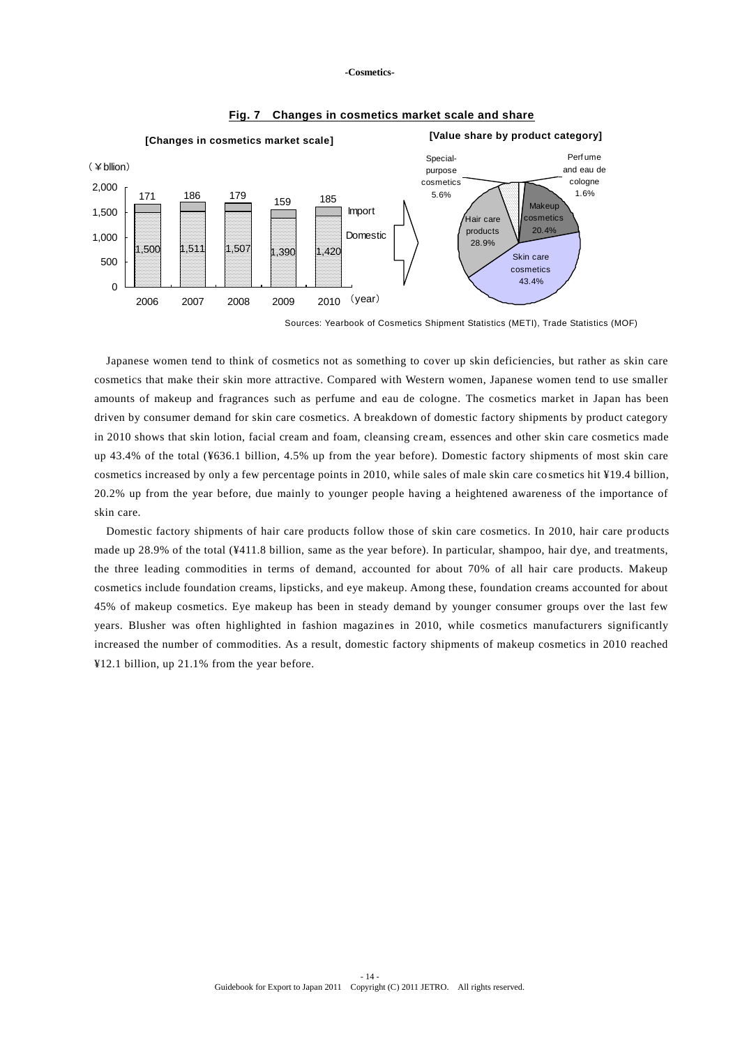

## **Fig. 7 Changes in cosmetics market scale and share**

Sources: Yearbook of Cosmetics Shipment Statistics (METI), Trade Statistics (MOF)

Japanese women tend to think of cosmetics not as something to cover up skin deficiencies, but rather as skin care cosmetics that make their skin more attractive. Compared with Western women, Japanese women tend to use smaller amounts of makeup and fragrances such as perfume and eau de cologne. The cosmetics market in Japan has been driven by consumer demand for skin care cosmetics. A breakdown of domestic factory shipments by product category in 2010 shows that skin lotion, facial cream and foam, cleansing cream, essences and other skin care cosmetics made up 43.4% of the total (¥636.1 billion, 4.5% up from the year before). Domestic factory shipments of most skin care cosmetics increased by only a few percentage points in 2010, while sales of male skin care co smetics hit ¥19.4 billion, 20.2% up from the year before, due mainly to younger people having a heightened awareness of the importance of skin care.

Domestic factory shipments of hair care products follow those of skin care cosmetics. In 2010, hair care products made up 28.9% of the total (¥411.8 billion, same as the year before). In particular, shampoo, hair dye, and treatments, the three leading commodities in terms of demand, accounted for about 70% of all hair care products. Makeup cosmetics include foundation creams, lipsticks, and eye makeup. Among these, foundation creams accounted for about 45% of makeup cosmetics. Eye makeup has been in steady demand by younger consumer groups over the last few years. Blusher was often highlighted in fashion magazines in 2010, while cosmetics manufacturers significantly increased the number of commodities. As a result, domestic factory shipments of makeup cosmetics in 2010 reached ¥12.1 billion, up 21.1% from the year before.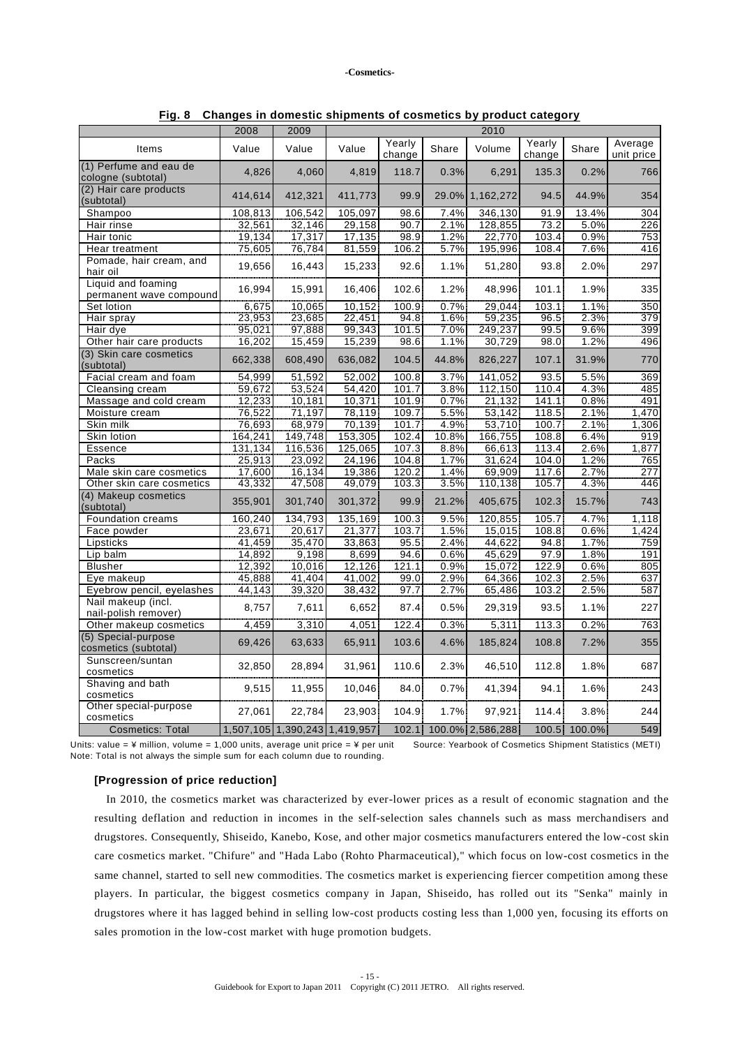|                                               | 2008    | 2009                          |         |                  |       | 2010             |                  |              |                       |
|-----------------------------------------------|---------|-------------------------------|---------|------------------|-------|------------------|------------------|--------------|-----------------------|
| Items                                         | Value   | Value                         | Value   | Yearly<br>change | Share | Volume           | Yearly<br>change | Share        | Average<br>unit price |
| (1) Perfume and eau de<br>cologne (subtotal)  | 4,826   | 4,060                         | 4,819   | 118.7            | 0.3%  | 6,291            | 135.3            | 0.2%         | 766                   |
| (2) Hair care products<br>(subtotal)          | 414,614 | 412,321                       | 411,773 | 99.9             | 29.0% | 1,162,272        | 94.5             | 44.9%        | 354                   |
| Shampoo                                       | 108,813 | 106,542                       | 105,097 | 98.6             | 7.4%  | 346,130          | 91.9             | 13.4%        | 304                   |
| Hair rinse                                    | 32,561  | 32,146                        | 29,158  | 90.7             | 2.1%  | 128,855          | 73.2             | 5.0%         | 226                   |
| Hair tonic                                    | 19,134  | 17,317                        | 17,135  | 98.9             | 1.2%  | 22,770           | 103.4            | 0.9%         | 753                   |
| Hear treatment                                | 75,605  | 76,784                        | 81,559  | 106.2            | 5.7%  | 195,996          | 108.4            | 7.6%         | 416                   |
| Pomade, hair cream, and<br>hair oil           | 19,656  | 16,443                        | 15,233  | 92.6             | 1.1%  | 51,280           | 93.8             | 2.0%         | 297                   |
| Liquid and foaming<br>permanent wave compound | 16,994  | 15,991                        | 16,406  | 102.6            | 1.2%  | 48,996           | 101.1            | 1.9%         | 335                   |
| Set lotion                                    | 6,675   | 10,065                        | 10,152  | 100.9            | 0.7%  | 29,044           | 103.1            | 1.1%         | 350                   |
| Hair spray                                    | 23,953  | 23,685                        | 22,451  | 94.8             | 1.6%  | 59,235           | 96.5             | 2.3%         | 379                   |
| Hair dye                                      | 95,021  | 97,888                        | 99,343  | 101.5            | 7.0%  | 249,237          | 99.5             | 9.6%         | 399                   |
| Other hair care products                      | 16,202  | 15,459                        | 15,239  | 98.6             | 1.1%  | 30,729           | 98.0             | 1.2%         | 496                   |
| (3) Skin care cosmetics<br>(subtotal)         | 662,338 | 608,490                       | 636,082 | 104.5            | 44.8% | 826,227          | 107.1            | 31.9%        | 770                   |
| Facial cream and foam                         | 54,999  | 51,592                        | 52,002  | 100.8            | 3.7%  | 141,052          | 93.5             | 5.5%         | 369                   |
| Cleansing cream                               | 59,672  | 53,524                        | 54,420  | 101.7            | 3.8%  | 112,150          | 110.4            | 4.3%         | 485                   |
| Massage and cold cream                        | 12,233  | 10,181                        | 10,371  | 101.9            | 0.7%  | 21,132           | 141.1            | 0.8%         | 491                   |
| Moisture cream                                | 76,522  | 71,197                        | 78,119  | 109.7            | 5.5%  | 53,142           | 118.5            | 2.1%         | 1,470                 |
| Skin milk                                     | 76,693  | 68,979                        | 70,139  | 101.7            | 4.9%  | 53,710           | 100.7            | 2.1%         | 1,306                 |
| Skin lotion                                   | 164,241 | 149,748                       | 153,305 | 102.4            | 10.8% | 166,755          | 108.8            | 6.4%         | 919                   |
| Essence                                       | 131,134 | 116,536                       | 125,065 | 107.3            | 8.8%  | 66,613           | 113.4            | 2.6%         | 1,877                 |
| Packs                                         | 25,913  | 23,092                        | 24,196  | 104.8            | 1.7%  | 31,624           | 104.0            | 1.2%         | 765                   |
| Male skin care cosmetics                      | 17,600  | 16,134                        | 19,386  | 120.2            | 1.4%  | 69,909           | 117.6            | 2.7%         | 277                   |
| Other skin care cosmetics                     | 43,332  | 47,508                        | 49,079  | 103.3            | 3.5%  | 110,138          | 105.7            | 4.3%         | 446                   |
| (4) Makeup cosmetics<br>(subtotal)            | 355,901 | 301,740                       | 301,372 | 99.9             | 21.2% | 405,675          | 102.3            | 15.7%        | 743                   |
| Foundation creams                             | 160,240 | 134,793                       | 135,169 | 100.3            | 9.5%  | 120,855          | 105.7            | 4.7%         | 1,118                 |
| Face powder                                   | 23,671  | 20,617                        | 21,377  | 103.7            | 1.5%  | 15,015           | 108.8            | 0.6%         | 1,424                 |
| Lipsticks                                     | 41,459  | 35,470                        | 33,863  | 95.5             | 2.4%  | 44,622           | 94.8             | 1.7%         | 759                   |
| Lip balm                                      | 14,892  | 9,198                         | 8,699   | 94.6             | 0.6%  | 45,629           | 97.9             | 1.8%         | 191                   |
| <b>Blusher</b>                                | 12,392  | 10,016                        | 12,126  | 121.1            | 0.9%  | 15,072           | 122.9            | 0.6%         | 805                   |
| Eye makeup                                    | 45,888  | 41,404                        | 41,002  | 99.0             | 2.9%  | 64,366           | 102.3            | 2.5%         | 637                   |
| Eyebrow pencil, eyelashes                     | 44,143  | 39,320                        | 38,432  | 97.7             | 2.7%  | 65,486           | 103.2            | 2.5%         | 587                   |
| Nail makeup (incl.<br>nail-polish remover)    | 8,757   | 7,611                         | 6,652   | 87.4             | 0.5%  | 29,319           | 93.5             | 1.1%         | 227                   |
| Other makeup cosmetics                        | 4,459   | 3,310                         | 4,051   | 122.4            | 0.3%  | 5,311            | 113.3            | 0.2%         | 763                   |
| (5) Special-purpose<br>cosmetics (subtotal)   | 69,426  | 63,633                        | 65,911  | 103.6            | 4.6%  | 185,824          | 108.8            | 7.2%         | 355                   |
| Sunscreen/suntan<br>cosmetics                 | 32,850  | 28,894                        | 31,961  | 110.6            | 2.3%  | 46,510           | 112.8            | 1.8%         | 687                   |
| Shaving and bath<br>cosmetics                 | 9,515   | 11,955                        | 10,046  | 84.0             | 0.7%  | 41,394           | 94.1             | 1.6%         | 243                   |
| Other special-purpose<br>cosmetics            | 27,061  | 22,784                        | 23,903  | 104.9            | 1.7%  | 97,921           | 114.4            | 3.8%         | 244                   |
| <b>Cosmetics: Total</b>                       |         | 1,507,105 1,390,243 1,419,957 |         | 102.1            |       | 100.0% 2,586,288 |                  | 100.5 100.0% | 549                   |

**Fig. 8 Changes in domestic shipments of cosmetics by product category**

Units: value = ¥ million, volume = 1,000 units, average unit price = ¥ per unit Source: Yearbook of Cosmetics Shipment Statistics (METI) Note: Total is not always the simple sum for each column due to rounding.

## **[Progression of price reduction]**

In 2010, the cosmetics market was characterized by ever-lower prices as a result of economic stagnation and the resulting deflation and reduction in incomes in the self-selection sales channels such as mass merchandisers and drugstores. Consequently, Shiseido, Kanebo, Kose, and other major cosmetics manufacturers entered the low-cost skin care cosmetics market. "Chifure" and "Hada Labo (Rohto Pharmaceutical)," which focus on low-cost cosmetics in the same channel, started to sell new commodities. The cosmetics market is experiencing fiercer competition among these players. In particular, the biggest cosmetics company in Japan, Shiseido, has rolled out its "Senka" mainly in drugstores where it has lagged behind in selling low-cost products costing less than 1,000 yen, focusing its efforts on sales promotion in the low-cost market with huge promotion budgets.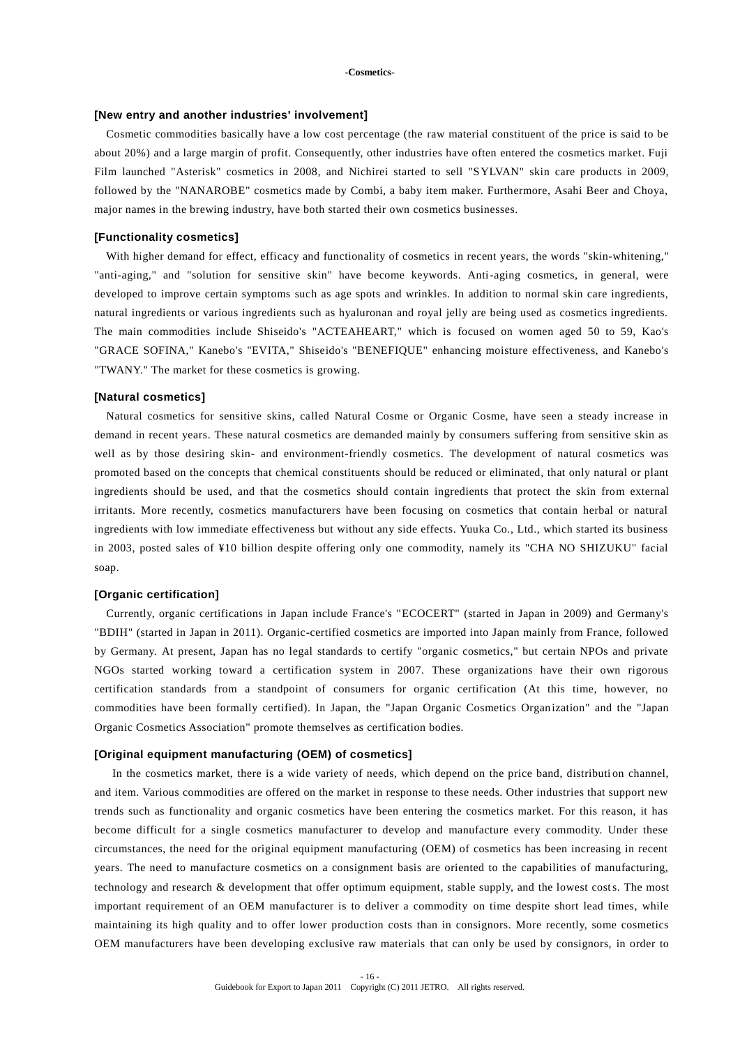#### **[New entry and another industries' involvement]**

Cosmetic commodities basically have a low cost percentage (the raw material constituent of the price is said to be about 20%) and a large margin of profit. Consequently, other industries have often entered the cosmetics market. Fuji Film launched "Asterisk" cosmetics in 2008, and Nichirei started to sell "SYLVAN" skin care products in 2009, followed by the "NANAROBE" cosmetics made by Combi, a baby item maker. Furthermore, Asahi Beer and Choya, major names in the brewing industry, have both started their own cosmetics businesses.

## **[Functionality cosmetics]**

With higher demand for effect, efficacy and functionality of cosmetics in recent years, the words "skin-whitening," "anti-aging," and "solution for sensitive skin" have become keywords. Anti-aging cosmetics, in general, were developed to improve certain symptoms such as age spots and wrinkles. In addition to normal skin care ingredients, natural ingredients or various ingredients such as hyaluronan and royal jelly are being used as cosmetics ingredients. The main commodities include Shiseido's "ACTEAHEART," which is focused on women aged 50 to 59, Kao's "GRACE SOFINA," Kanebo's "EVITA," Shiseido's "BENEFIQUE" enhancing moisture effectiveness, and Kanebo's "TWANY." The market for these cosmetics is growing.

#### **[Natural cosmetics]**

Natural cosmetics for sensitive skins, called Natural Cosme or Organic Cosme, have seen a steady increase in demand in recent years. These natural cosmetics are demanded mainly by consumers suffering from sensitive skin as well as by those desiring skin- and environment-friendly cosmetics. The development of natural cosmetics was promoted based on the concepts that chemical constituents should be reduced or eliminated, that only natural or plant ingredients should be used, and that the cosmetics should contain ingredients that protect the skin from external irritants. More recently, cosmetics manufacturers have been focusing on cosmetics that contain herbal or natural ingredients with low immediate effectiveness but without any side effects. Yuuka Co., Ltd., which started its business in 2003, posted sales of ¥10 billion despite offering only one commodity, namely its "CHA NO SHIZUKU" facial soap.

## **[Organic certification]**

Currently, organic certifications in Japan include France's "ECOCERT" (started in Japan in 2009) and Germany's "BDIH" (started in Japan in 2011). Organic-certified cosmetics are imported into Japan mainly from France, followed by Germany. At present, Japan has no legal standards to certify "organic cosmetics," but certain NPOs and private NGOs started working toward a certification system in 2007. These organizations have their own rigorous certification standards from a standpoint of consumers for organic certification (At this time, however, no commodities have been formally certified). In Japan, the "Japan Organic Cosmetics Organization" and the "Japan Organic Cosmetics Association" promote themselves as certification bodies.

### **[Original equipment manufacturing (OEM) of cosmetics]**

In the cosmetics market, there is a wide variety of needs, which depend on the price band, distribution channel, and item. Various commodities are offered on the market in response to these needs. Other industries that support new trends such as functionality and organic cosmetics have been entering the cosmetics market. For this reason, it has become difficult for a single cosmetics manufacturer to develop and manufacture every commodity. Under these circumstances, the need for the original equipment manufacturing (OEM) of cosmetics has been increasing in recent years. The need to manufacture cosmetics on a consignment basis are oriented to the capabilities of manufacturing, technology and research & development that offer optimum equipment, stable supply, and the lowest costs. The most important requirement of an OEM manufacturer is to deliver a commodity on time despite short lead times, while maintaining its high quality and to offer lower production costs than in consignors. More recently, some cosmetics OEM manufacturers have been developing exclusive raw materials that can only be used by consignors, in order to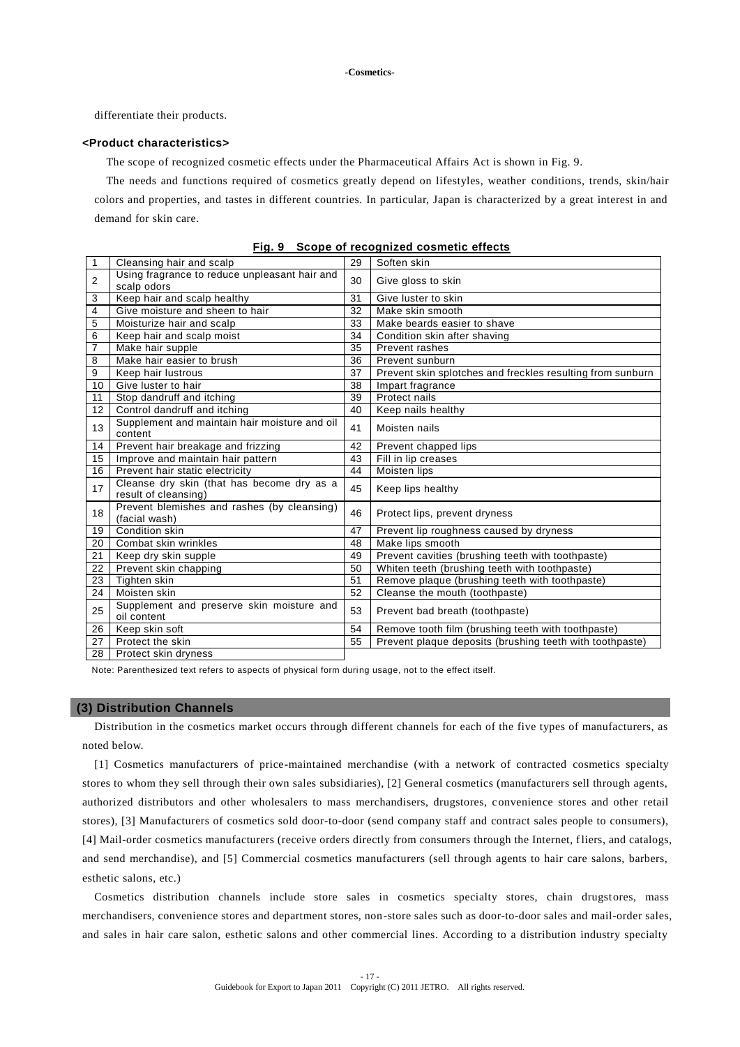differentiate their products.

### **<Product characteristics>**

The scope of recognized cosmetic effects under the Pharmaceutical Affairs Act is shown in Fig. 9.

 The needs and functions required of cosmetics greatly depend on lifestyles, weather conditions, trends, skin/hair colors and properties, and tastes in different countries. In particular, Japan is characterized by a great interest in and demand for skin care.

| $\mathbf{1}$            | Cleansing hair and scalp                                           | 29       | Soften skin                                                |
|-------------------------|--------------------------------------------------------------------|----------|------------------------------------------------------------|
| 2                       | Using fragrance to reduce unpleasant hair and                      |          | Give gloss to skin                                         |
|                         | scalp odors                                                        |          |                                                            |
| 3                       | Keep hair and scalp healthy                                        | 31       | Give luster to skin                                        |
| $\overline{\mathbf{4}}$ | Give moisture and sheen to hair                                    | 32       | Make skin smooth                                           |
| 5                       | Moisturize hair and scalp                                          | 33<br>34 | Make beards easier to shave                                |
| 6                       | Keep hair and scalp moist                                          |          | Condition skin after shaving                               |
| $\overline{7}$          | Make hair supple                                                   | 35       | Prevent rashes                                             |
| 8                       | Make hair easier to brush                                          | 36       | Prevent sunburn                                            |
| 9                       | Keep hair lustrous                                                 | 37       | Prevent skin splotches and freckles resulting from sunburn |
| 10                      | Give luster to hair                                                | 38       | Impart fragrance                                           |
| 11                      | Stop dandruff and itching                                          | 39       | Protect nails                                              |
| 12                      | Control dandruff and itching                                       | 40       | Keep nails healthy                                         |
| 13                      | Supplement and maintain hair moisture and oil<br>content           | 41       | Moisten nails                                              |
| 14                      | Prevent hair breakage and frizzing                                 | 42       | Prevent chapped lips                                       |
| 15                      | Improve and maintain hair pattern                                  | 43       | Fill in lip creases                                        |
| 16                      | Prevent hair static electricity                                    | 44       | Moisten lips                                               |
| 17                      | Cleanse dry skin (that has become dry as a<br>result of cleansing) | 45       | Keep lips healthy                                          |
| 18                      | Prevent blemishes and rashes (by cleansing)<br>(facial wash)       | 46       | Protect lips, prevent dryness                              |
| 19                      | Condition skin                                                     | 47       | Prevent lip roughness caused by dryness                    |
| 20                      | Combat skin wrinkles                                               | 48       | Make lips smooth                                           |
| 21                      | Keep dry skin supple                                               | 49       | Prevent cavities (brushing teeth with toothpaste)          |
| 22                      | Prevent skin chapping                                              | 50       | Whiten teeth (brushing teeth with toothpaste)              |
| 23                      | Tighten skin                                                       | 51       | Remove plaque (brushing teeth with toothpaste)             |
| 24                      | Moisten skin                                                       | 52       | Cleanse the mouth (toothpaste)                             |
| 25                      | Supplement and preserve skin moisture and<br>oil content           | 53       | Prevent bad breath (toothpaste)                            |
| 26                      | Keep skin soft                                                     | 54       | Remove tooth film (brushing teeth with toothpaste)         |
| 27                      | Protect the skin                                                   | 55       | Prevent plaque deposits (brushing teeth with toothpaste)   |
| 28                      | Protect skin dryness                                               |          |                                                            |

**Fig. 9 Scope of recognized cosmetic effects**

Note: Parenthesized text refers to aspects of physical form during usage, not to the effect itself.

#### **(3) Distribution Channels**

Distribution in the cosmetics market occurs through different channels for each of the five types of manufacturers, as noted below.

[1] Cosmetics manufacturers of price-maintained merchandise (with a network of contracted cosmetics specialty stores to whom they sell through their own sales subsidiaries), [2] General cosmetics (manufacturers sell through agents, authorized distributors and other wholesalers to mass merchandisers, drugstores, convenience stores and other retail stores), [3] Manufacturers of cosmetics sold door-to-door (send company staff and contract sales people to consumers), [4] Mail-order cosmetics manufacturers (receive orders directly from consumers through the Internet, fliers, and catalogs, and send merchandise), and [5] Commercial cosmetics manufacturers (sell through agents to hair care salons, barbers, esthetic salons, etc.)

Cosmetics distribution channels include store sales in cosmetics specialty stores, chain drugstores, mass merchandisers, convenience stores and department stores, non-store sales such as door-to-door sales and mail-order sales, and sales in hair care salon, esthetic salons and other commercial lines. According to a distribution industry specialty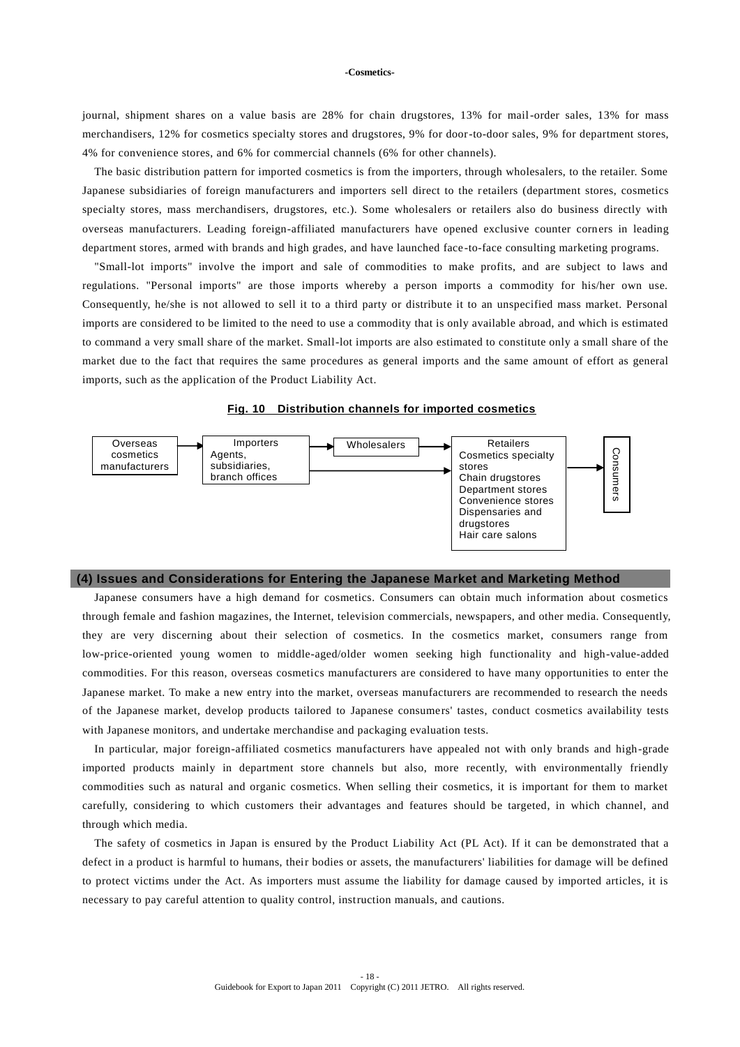journal, shipment shares on a value basis are 28% for chain drugstores, 13% for mail-order sales, 13% for mass merchandisers, 12% for cosmetics specialty stores and drugstores, 9% for door-to-door sales, 9% for department stores, 4% for convenience stores, and 6% for commercial channels (6% for other channels).

The basic distribution pattern for imported cosmetics is from the importers, through wholesalers, to the retailer. Some Japanese subsidiaries of foreign manufacturers and importers sell direct to the retailers (department stores, cosmetics specialty stores, mass merchandisers, drugstores, etc.). Some wholesalers or retailers also do business directly with overseas manufacturers. Leading foreign-affiliated manufacturers have opened exclusive counter corners in leading department stores, armed with brands and high grades, and have launched face -to-face consulting marketing programs.

"Small-lot imports" involve the import and sale of commodities to make profits, and are subject to laws and regulations. "Personal imports" are those imports whereby a person imports a commodity for his/her own use. Consequently, he/she is not allowed to sell it to a third party or distribute it to an unspecified mass market. Personal imports are considered to be limited to the need to use a commodity that is only available abroad, and which is estimated to command a very small share of the market. Small-lot imports are also estimated to constitute only a small share of the market due to the fact that requires the same procedures as general imports and the same amount of effort as general imports, such as the application of the Product Liability Act.





#### **(4) Issues and Considerations for Entering the Japanese Market and Marketing Method**

Japanese consumers have a high demand for cosmetics. Consumers can obtain much information about cosmetics through female and fashion magazines, the Internet, television commercials, newspapers, and other media. Consequently, they are very discerning about their selection of cosmetics. In the cosmetics market, consumers range from low-price-oriented young women to middle-aged/older women seeking high functionality and high-value-added commodities. For this reason, overseas cosmetics manufacturers are considered to have many opportunities to enter the Japanese market. To make a new entry into the market, overseas manufacturers are recommended to research the needs of the Japanese market, develop products tailored to Japanese consumers' tastes, conduct cosmetics availability tests with Japanese monitors, and undertake merchandise and packaging evaluation tests.

In particular, major foreign-affiliated cosmetics manufacturers have appealed not with only brands and high-grade imported products mainly in department store channels but also, more recently, with environmentally friendly commodities such as natural and organic cosmetics. When selling their cosmetics, it is important for them to market carefully, considering to which customers their advantages and features should be targeted, in which channel, and through which media.

The safety of cosmetics in Japan is ensured by the Product Liability Act (PL Act). If it can be demonstrated that a defect in a product is harmful to humans, their bodies or assets, the manufacturers' liabilities for damage will be defined to protect victims under the Act. As importers must assume the liability for damage caused by imported articles, it is necessary to pay careful attention to quality control, instruction manuals, and cautions.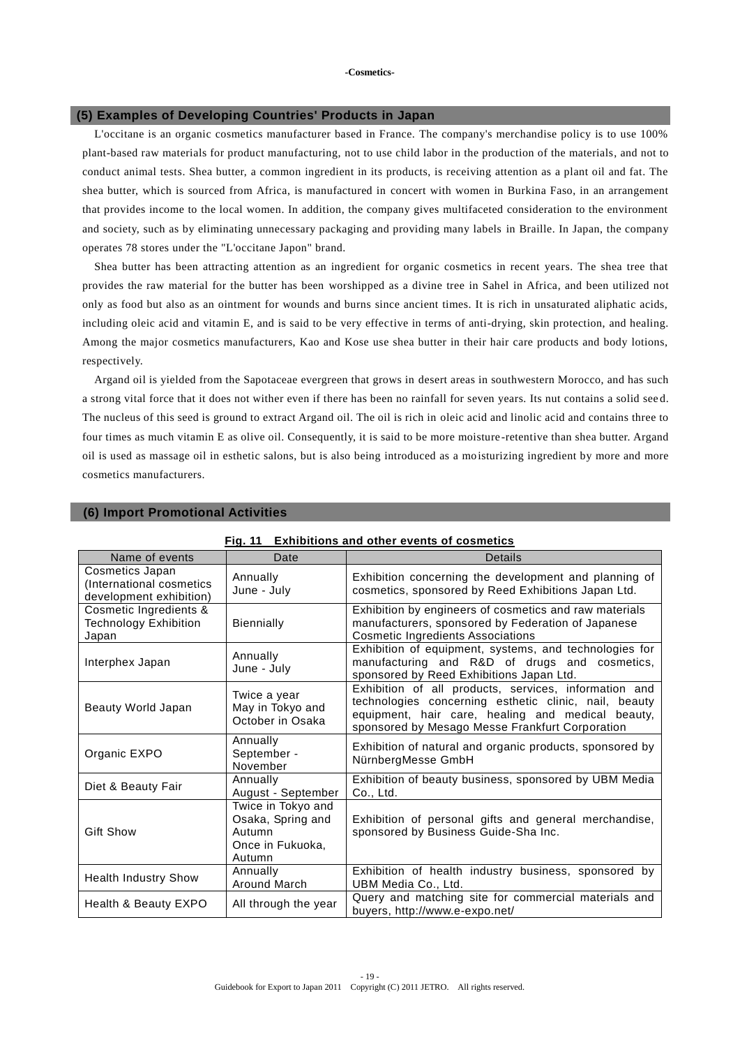## **(5) Examples of Developing Countries' Products in Japan**

L'occitane is an organic cosmetics manufacturer based in France. The company's merchandise policy is to use 100% plant-based raw materials for product manufacturing, not to use child labor in the production of the materials, and not to conduct animal tests. Shea butter, a common ingredient in its products, is receiving attention as a plant oil and fat. The shea butter, which is sourced from Africa, is manufactured in concert with women in Burkina Faso, in an arrangement that provides income to the local women. In addition, the company gives multifaceted consideration to the environment and society, such as by eliminating unnecessary packaging and providing many labels in Braille. In Japan, the company operates 78 stores under the "L'occitane Japon" brand.

Shea butter has been attracting attention as an ingredient for organic cosmetics in recent years. The shea tree that provides the raw material for the butter has been worshipped as a divine tree in Sahel in Africa, and been utilized not only as food but also as an ointment for wounds and burns since ancient times. It is rich in unsaturated aliphatic acids, including oleic acid and vitamin E, and is said to be very effective in terms of anti-drying, skin protection, and healing. Among the major cosmetics manufacturers, Kao and Kose use shea butter in their hair care products and body lotions, respectively.

Argand oil is yielded from the Sapotaceae evergreen that grows in desert areas in southwestern Morocco, and has such a strong vital force that it does not wither even if there has been no rainfall for seven years. Its nut contains a solid see d. The nucleus of this seed is ground to extract Argand oil. The oil is rich in oleic acid and linolic acid and contains three to four times as much vitamin E as olive oil. Consequently, it is said to be more moisture -retentive than shea butter. Argand oil is used as massage oil in esthetic salons, but is also being introduced as a mo isturizing ingredient by more and more cosmetics manufacturers.

| Fig. 11<br><b>Exhibitions and other events of cosmetics</b>            |                                                                                 |                                                                                                                                                                                                                        |  |  |  |
|------------------------------------------------------------------------|---------------------------------------------------------------------------------|------------------------------------------------------------------------------------------------------------------------------------------------------------------------------------------------------------------------|--|--|--|
| Name of events                                                         | Date                                                                            | Details                                                                                                                                                                                                                |  |  |  |
| Cosmetics Japan<br>(International cosmetics<br>development exhibition) | Annually<br>June - July                                                         | Exhibition concerning the development and planning of<br>cosmetics, sponsored by Reed Exhibitions Japan Ltd.                                                                                                           |  |  |  |
| Cosmetic Ingredients &<br><b>Technology Exhibition</b><br>Japan        | <b>Biennially</b>                                                               | Exhibition by engineers of cosmetics and raw materials<br>manufacturers, sponsored by Federation of Japanese<br><b>Cosmetic Ingredients Associations</b>                                                               |  |  |  |
| Interphex Japan                                                        | Annually<br>June - July                                                         | Exhibition of equipment, systems, and technologies for<br>manufacturing and R&D of drugs and cosmetics,<br>sponsored by Reed Exhibitions Japan Ltd.                                                                    |  |  |  |
| Beauty World Japan                                                     | Twice a year<br>May in Tokyo and<br>October in Osaka                            | Exhibition of all products, services, information and<br>technologies concerning esthetic clinic, nail, beauty<br>equipment, hair care, healing and medical beauty,<br>sponsored by Mesago Messe Frankfurt Corporation |  |  |  |
| Organic EXPO                                                           | Annually<br>September -<br>November                                             | Exhibition of natural and organic products, sponsored by<br>NürnbergMesse GmbH                                                                                                                                         |  |  |  |
| Diet & Beauty Fair                                                     | Annually<br>August - September                                                  | Exhibition of beauty business, sponsored by UBM Media<br>Co., Ltd.                                                                                                                                                     |  |  |  |
| <b>Gift Show</b>                                                       | Twice in Tokyo and<br>Osaka, Spring and<br>Autumn<br>Once in Fukuoka,<br>Autumn | Exhibition of personal gifts and general merchandise,<br>sponsored by Business Guide-Sha Inc.                                                                                                                          |  |  |  |
| <b>Health Industry Show</b>                                            | Annually<br>Around March                                                        | Exhibition of health industry business, sponsored by<br>UBM Media Co., Ltd.                                                                                                                                            |  |  |  |
| Health & Beauty EXPO<br>All through the year                           |                                                                                 | Query and matching site for commercial materials and<br>buyers, http://www.e-expo.net/                                                                                                                                 |  |  |  |

#### **(6) Import Promotional Activities**